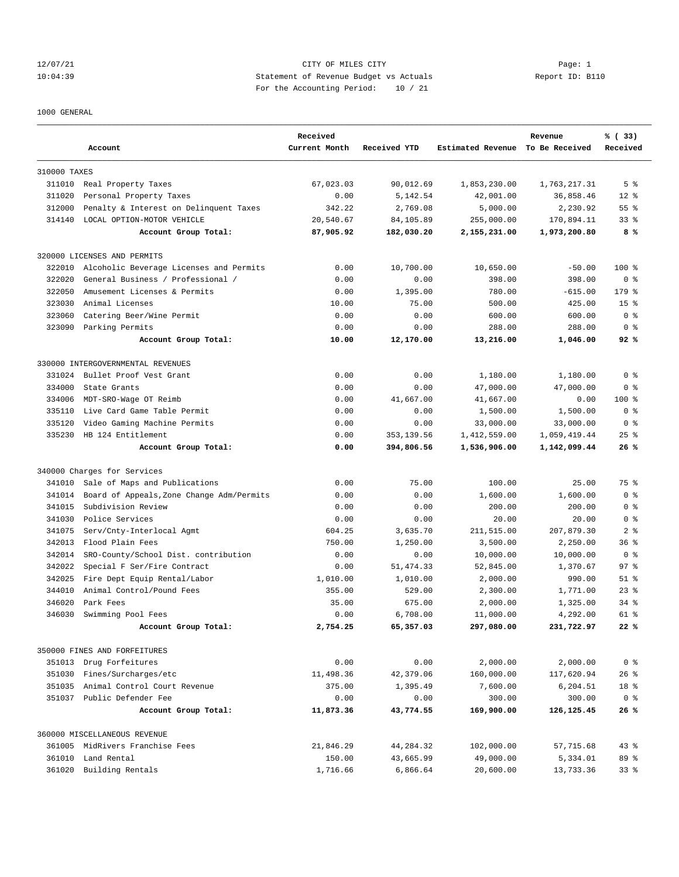#### 12/07/21 Page: 1 Page: 1 10:04:39 Statement of Revenue Budget vs Actuals Report ID: B110 For the Accounting Period: 10 / 21

#### 1000 GENERAL

|              | Account                                   | Received<br>Current Month | Received YTD | Estimated Revenue To Be Received | Revenue      | % (33)<br>Received |
|--------------|-------------------------------------------|---------------------------|--------------|----------------------------------|--------------|--------------------|
| 310000 TAXES |                                           |                           |              |                                  |              |                    |
|              | 311010 Real Property Taxes                | 67,023.03                 | 90,012.69    | 1,853,230.00                     | 1,763,217.31 | 5 <sup>8</sup>     |
| 311020       | Personal Property Taxes                   | 0.00                      | 5,142.54     | 42,001.00                        | 36,858.46    | $12*$              |
| 312000       | Penalty & Interest on Delinquent Taxes    | 342.22                    | 2,769.08     | 5,000.00                         | 2,230.92     | $55$ $%$           |
| 314140       | LOCAL OPTION-MOTOR VEHICLE                | 20,540.67                 | 84,105.89    | 255,000.00                       | 170,894.11   | 33 <sup>8</sup>    |
|              | Account Group Total:                      | 87,905.92                 | 182,030.20   | 2,155,231.00                     | 1,973,200.80 | 8%                 |
|              | 320000 LICENSES AND PERMITS               |                           |              |                                  |              |                    |
| 322010       | Alcoholic Beverage Licenses and Permits   | 0.00                      | 10,700.00    | 10,650.00                        | $-50.00$     | $100$ %            |
| 322020       | General Business / Professional /         | 0.00                      | 0.00         | 398.00                           | 398.00       | 0 <sup>8</sup>     |
| 322050       | Amusement Licenses & Permits              | 0.00                      | 1,395.00     | 780.00                           | $-615.00$    | 179 %              |
| 323030       | Animal Licenses                           | 10.00                     | 75.00        | 500.00                           | 425.00       | 15 <sup>8</sup>    |
| 323060       | Catering Beer/Wine Permit                 | 0.00                      | 0.00         | 600.00                           | 600.00       | 0 <sup>8</sup>     |
|              | 323090 Parking Permits                    | 0.00                      | 0.00         | 288.00                           | 288.00       | 0 <sup>8</sup>     |
|              | Account Group Total:                      | 10.00                     | 12,170.00    | 13,216.00                        | 1,046.00     | 92%                |
|              | 330000 INTERGOVERNMENTAL REVENUES         |                           |              |                                  |              |                    |
| 331024       | Bullet Proof Vest Grant                   | 0.00                      | 0.00         | 1,180.00                         | 1,180.00     | 0 <sup>8</sup>     |
| 334000       | State Grants                              | 0.00                      | 0.00         | 47,000.00                        | 47,000.00    | 0 <sup>8</sup>     |
| 334006       | MDT-SRO-Wage OT Reimb                     | 0.00                      | 41,667.00    | 41,667.00                        | 0.00         | $100$ %            |
| 335110       | Live Card Game Table Permit               | 0.00                      | 0.00         | 1,500.00                         | 1,500.00     | 0 <sup>8</sup>     |
| 335120       | Video Gaming Machine Permits              | 0.00                      | 0.00         | 33,000.00                        | 33,000.00    | 0 <sup>8</sup>     |
| 335230       | HB 124 Entitlement                        | 0.00                      | 353,139.56   | 1,412,559.00                     | 1,059,419.44 | $25$ %             |
|              | Account Group Total:                      | 0.00                      | 394,806.56   | 1,536,906.00                     | 1,142,099.44 | 26%                |
|              | 340000 Charges for Services               |                           |              |                                  |              |                    |
| 341010       | Sale of Maps and Publications             | 0.00                      | 75.00        | 100.00                           | 25.00        | 75 %               |
| 341014       | Board of Appeals, Zone Change Adm/Permits | 0.00                      | 0.00         | 1,600.00                         | 1,600.00     | 0 <sup>8</sup>     |
| 341015       | Subdivision Review                        | 0.00                      | 0.00         | 200.00                           | 200.00       | 0 <sup>8</sup>     |
| 341030       | Police Services                           | 0.00                      | 0.00         | 20.00                            | 20.00        | 0 <sup>8</sup>     |
| 341075       | Serv/Cnty-Interlocal Agmt                 | 604.25                    | 3,635.70     | 211,515.00                       | 207,879.30   | 2 <sub>8</sub>     |
| 342013       | Flood Plain Fees                          | 750.00                    | 1,250.00     | 3,500.00                         | 2,250.00     | 36 <sup>8</sup>    |
| 342014       | SRO-County/School Dist. contribution      | 0.00                      | 0.00         | 10,000.00                        | 10,000.00    | 0 <sup>8</sup>     |
| 342022       | Special F Ser/Fire Contract               | 0.00                      | 51, 474.33   | 52,845.00                        | 1,370.67     | 97%                |
| 342025       | Fire Dept Equip Rental/Labor              | 1,010.00                  | 1,010.00     | 2,000.00                         | 990.00       | $51$ %             |
| 344010       | Animal Control/Pound Fees                 | 355.00                    | 529.00       | 2,300.00                         | 1,771.00     | $23$ $%$           |
| 346020       | Park Fees                                 | 35.00                     | 675.00       | 2,000.00                         | 1,325.00     | $34$ $%$           |
| 346030       | Swimming Pool Fees                        | 0.00                      | 6,708.00     | 11,000.00                        | 4,292.00     | $61*$              |
|              | Account Group Total:                      | 2,754.25                  | 65,357.03    | 297,080.00                       | 231,722.97   | 22%                |
|              | 350000 FINES AND FORFEITURES              |                           |              |                                  |              |                    |
|              | 351013 Drug Forfeitures                   | 0.00                      | 0.00         | 2,000.00                         | 2,000.00     | 0 <sup>8</sup>     |
| 351030       | Fines/Surcharges/etc                      | 11,498.36                 | 42,379.06    | 160,000.00                       | 117,620.94   | $26$ %             |
| 351035       | Animal Control Court Revenue              | 375.00                    | 1,395.49     | 7,600.00                         | 6,204.51     | 18 %               |
|              | 351037 Public Defender Fee                | 0.00                      | 0.00         | 300.00                           | 300.00       | 0 <sup>8</sup>     |
|              | Account Group Total:                      | 11,873.36                 | 43,774.55    | 169,900.00                       | 126, 125.45  | 26%                |
|              | 360000 MISCELLANEOUS REVENUE              |                           |              |                                  |              |                    |
|              | 361005 MidRivers Franchise Fees           | 21,846.29                 | 44,284.32    | 102,000.00                       | 57,715.68    | $43$ %             |
|              | 361010 Land Rental                        | 150.00                    | 43,665.99    | 49,000.00                        | 5,334.01     | 89 %               |
| 361020       | Building Rentals                          | 1,716.66                  | 6,866.64     | 20,600.00                        | 13,733.36    | 33 <sup>8</sup>    |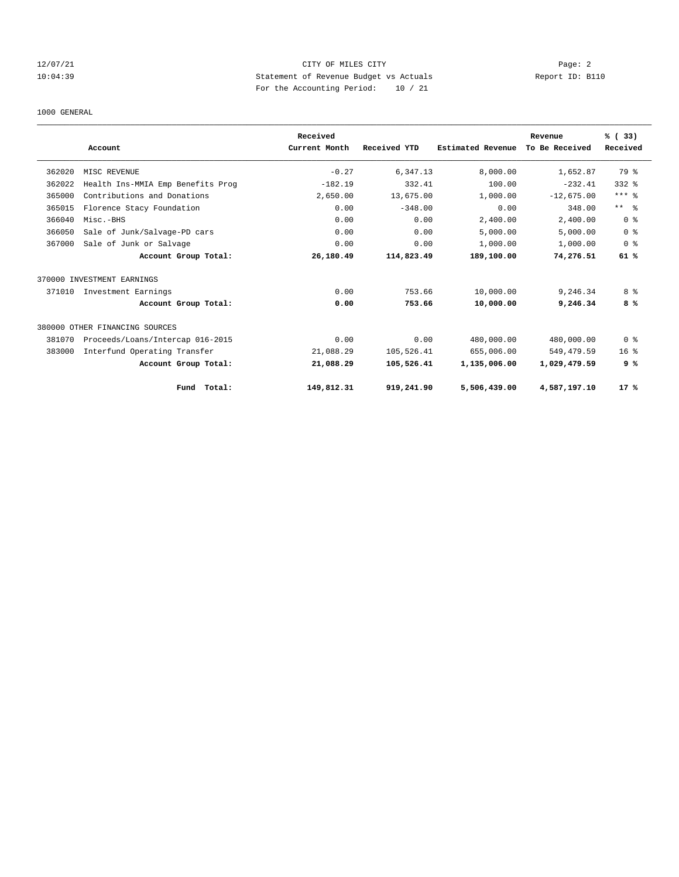## 12/07/21 Page: 2 10:04:39 Statement of Revenue Budget vs Actuals Report ID: B110 For the Accounting Period: 10 / 21

#### 1000 GENERAL

|        |                                   | Received      |              |                   | Revenue        | % (33)         |
|--------|-----------------------------------|---------------|--------------|-------------------|----------------|----------------|
|        | Account                           | Current Month | Received YTD | Estimated Revenue | To Be Received | Received       |
| 362020 | MISC REVENUE                      | $-0.27$       | 6,347.13     | 8,000.00          | 1,652.87       | 79 %           |
| 362022 | Health Ins-MMIA Emp Benefits Prog | $-182.19$     | 332.41       | 100.00            | $-232.41$      | $332$ $%$      |
| 365000 | Contributions and Donations       | 2,650.00      | 13,675.00    | 1,000.00          | $-12,675.00$   | $***$ $_{8}$   |
| 365015 | Florence Stacy Foundation         | 0.00          | $-348.00$    | 0.00              | 348.00         | $***$ $ -$     |
| 366040 | Misc.-BHS                         | 0.00          | 0.00         | 2,400.00          | 2,400.00       | 0 <sup>8</sup> |
| 366050 | Sale of Junk/Salvage-PD cars      | 0.00          | 0.00         | 5,000.00          | 5,000.00       | 0 <sup>8</sup> |
| 367000 | Sale of Junk or Salvage           | 0.00          | 0.00         | 1,000.00          | 1,000.00       | 0 <sup>8</sup> |
|        | Account Group Total:              | 26,180.49     | 114,823.49   | 189,100.00        | 74,276.51      | 61 %           |
|        | 370000 INVESTMENT EARNINGS        |               |              |                   |                |                |
| 371010 | Investment Earnings               | 0.00          | 753.66       | 10,000.00         | 9,246.34       | 8 %            |
|        | Account Group Total:              | 0.00          | 753.66       | 10,000.00         | 9,246.34       | 8%             |
|        | 380000 OTHER FINANCING SOURCES    |               |              |                   |                |                |
| 381070 | Proceeds/Loans/Intercap 016-2015  | 0.00          | 0.00         | 480,000.00        | 480,000.00     | 0 <sup>8</sup> |
| 383000 | Interfund Operating Transfer      | 21,088.29     | 105,526.41   | 655,006.00        | 549, 479.59    | $16*$          |
|        | Account Group Total:              | 21,088.29     | 105,526.41   | 1,135,006.00      | 1,029,479.59   | 9%             |
|        | Fund Total:                       | 149,812.31    | 919,241.90   | 5,506,439.00      | 4,587,197.10   | 17%            |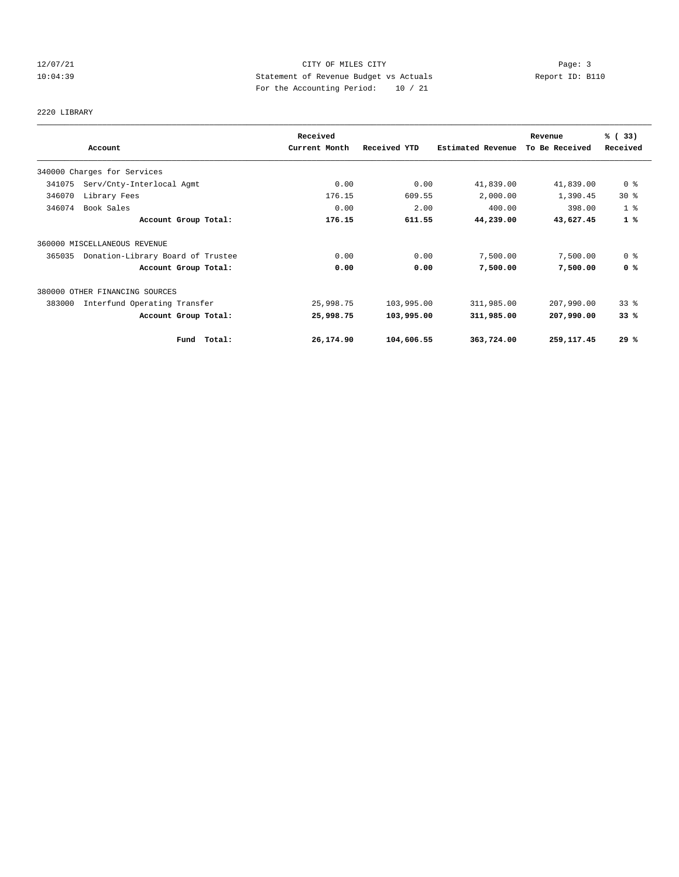## 12/07/21 Page: 3 Page: 3 Page: 3 10:04:39 Statement of Revenue Budget vs Actuals Report ID: B110 For the Accounting Period: 10 / 21

# 2220 LIBRARY

|        |                                   | Received      |              |                   | Revenue        | % (33)          |
|--------|-----------------------------------|---------------|--------------|-------------------|----------------|-----------------|
|        | Account                           | Current Month | Received YTD | Estimated Revenue | To Be Received | Received        |
|        | 340000 Charges for Services       |               |              |                   |                |                 |
| 341075 | Serv/Cnty-Interlocal Agmt         | 0.00          | 0.00         | 41,839.00         | 41,839.00      | 0 %             |
| 346070 | Library Fees                      | 176.15        | 609.55       | 2,000.00          | 1,390.45       | $30*$           |
| 346074 | Book Sales                        | 0.00          | 2.00         | 400.00            | 398.00         | 1 <sup>8</sup>  |
|        | Account Group Total:              | 176.15        | 611.55       | 44,239.00         | 43,627.45      | 1%              |
|        | 360000 MISCELLANEOUS REVENUE      |               |              |                   |                |                 |
| 365035 | Donation-Library Board of Trustee | 0.00          | 0.00         | 7,500.00          | 7,500.00       | 0 <sup>8</sup>  |
|        | Account Group Total:              | 0.00          | 0.00         | 7,500.00          | 7,500.00       | 0 <sup>8</sup>  |
|        | 380000 OTHER FINANCING SOURCES    |               |              |                   |                |                 |
| 383000 | Interfund Operating Transfer      | 25,998.75     | 103,995.00   | 311,985.00        | 207,990.00     | 33 <sup>8</sup> |
|        | Account Group Total:              | 25,998.75     | 103,995.00   | 311,985.00        | 207,990.00     | 33%             |
|        | Total:<br>Fund                    | 26,174.90     | 104,606.55   | 363,724.00        | 259, 117.45    | 29%             |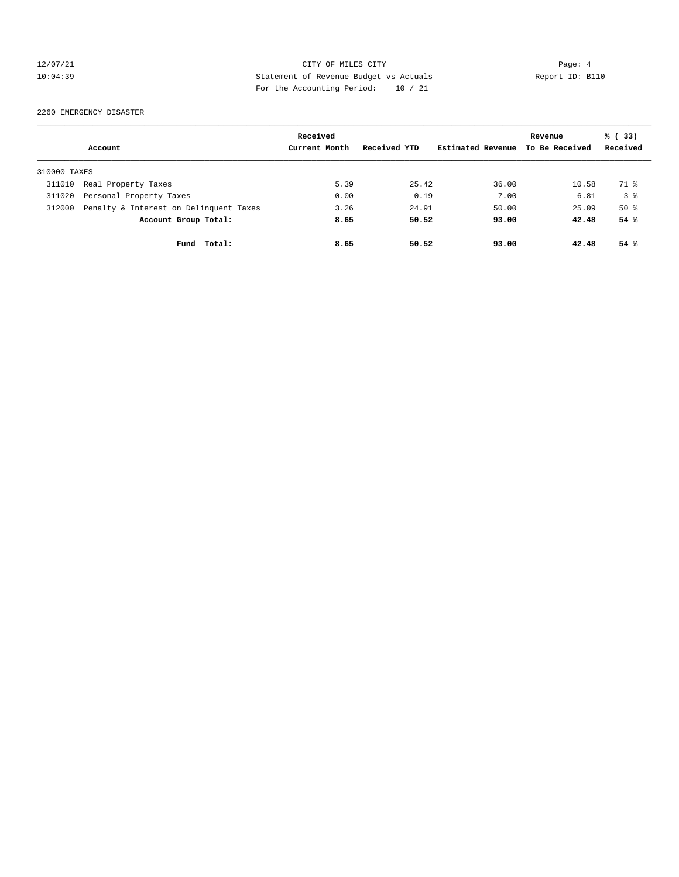## 12/07/21 Page: 4 10:04:39 Statement of Revenue Budget vs Actuals Report ID: B110 For the Accounting Period: 10 / 21

2260 EMERGENCY DISASTER

|              |                                        | Received      |              |                   | Revenue        | % (33)         |
|--------------|----------------------------------------|---------------|--------------|-------------------|----------------|----------------|
|              | Account                                | Current Month | Received YTD | Estimated Revenue | To Be Received | Received       |
| 310000 TAXES |                                        |               |              |                   |                |                |
| 311010       | Real Property Taxes                    | 5.39          | 25.42        | 36.00             | 10.58          | 71 %           |
| 311020       | Personal Property Taxes                | 0.00          | 0.19         | 7.00              | 6.81           | 3 <sup>8</sup> |
| 312000       | Penalty & Interest on Delinquent Taxes | 3.26          | 24.91        | 50.00             | 25.09          | $50*$          |
|              | Account Group Total:                   | 8.65          | 50.52        | 93.00             | 42.48          | 54%            |
|              | Fund Total:                            | 8.65          | 50.52        | 93.00             | 42.48          | 54%            |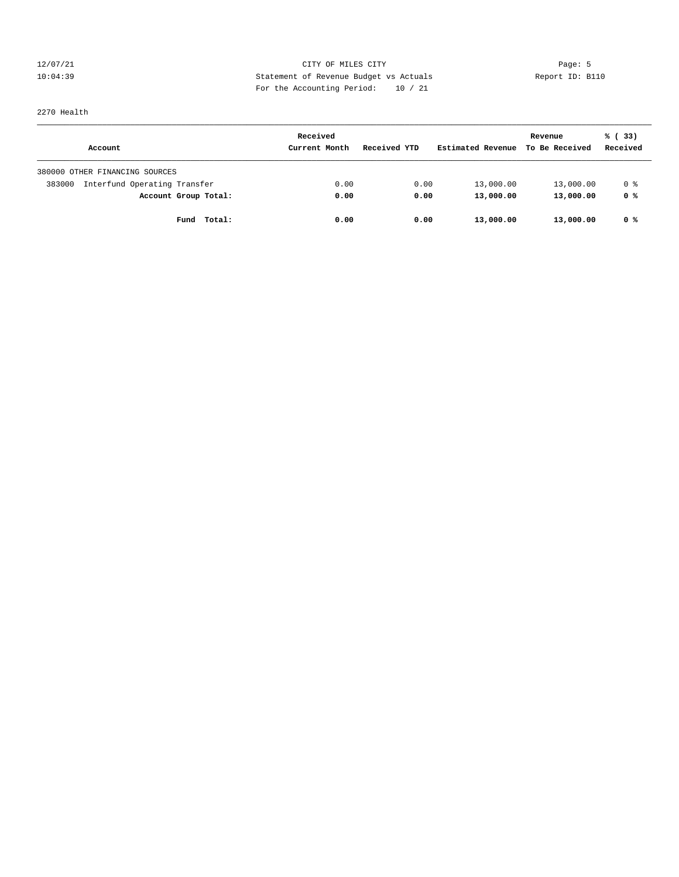12/07/21 Page: 5 Page: 5 Page: 5 Page: 5 Page: 5 Page: 5 Page: 5 Page: 5 Page: 5 Page: 5 Page: 5 Page: 5 Page: 5 Page: 5 Page: 5 Page: 5 Page: 5 Page: 5 Page: 5 Page: 5 Page: 5 Page: 5 Page: 5 Page: 5 Page: 5 Page: 5 Page: 10:04:39 Statement of Revenue Budget vs Actuals Report ID: B110 For the Accounting Period: 10 / 21

# 2270 Health

| Account                                | Received<br>Current Month | Received YTD | Estimated Revenue | Revenue<br>To Be Received | % (33)<br>Received |
|----------------------------------------|---------------------------|--------------|-------------------|---------------------------|--------------------|
| 380000 OTHER FINANCING SOURCES         |                           |              |                   |                           |                    |
| Interfund Operating Transfer<br>383000 | 0.00                      | 0.00         | 13,000.00         | 13,000.00                 | 0 %                |
| Account Group Total:                   | 0.00                      | 0.00         | 13,000.00         | 13,000.00                 | 0 %                |
| Fund Total:                            | 0.00                      | 0.00         | 13,000.00         | 13,000.00                 | 0 %                |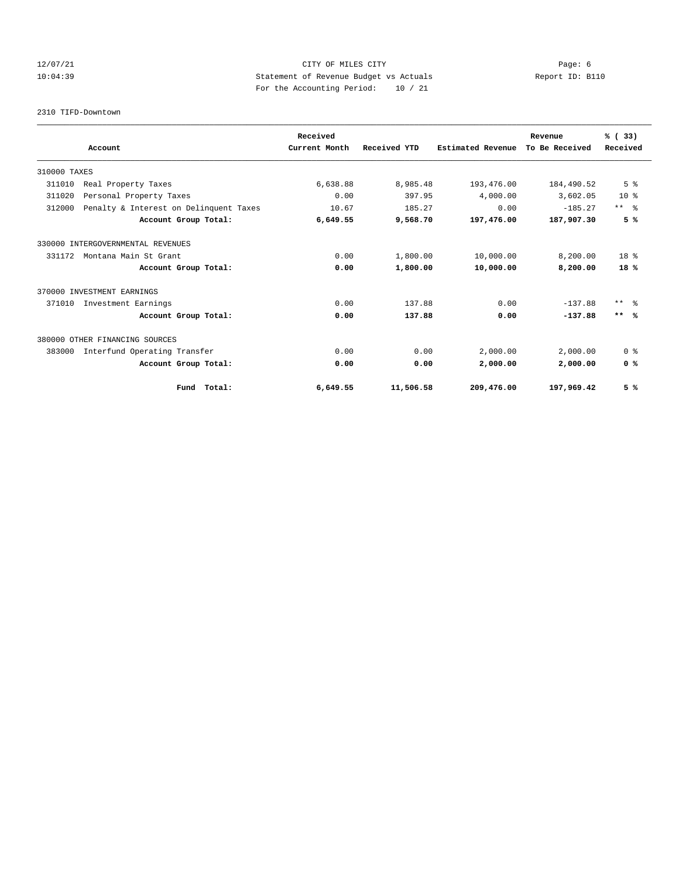## 12/07/21 Page: 6 Page: 6 Page: 6 Page: 6 Page: 6 Page: 6 Page: 6 Page: 6 Page: 6 Page: 6 Page: 6 Page: 6 Page: 6 Page: 6 Page: 6 Page: 6 Page: 6 Page: 6 Page: 6 Page: 6 Page: 6 Page: 6 Page: 6 Page: 6 Page: 6 Page: 6 Page: 10:04:39 Statement of Revenue Budget vs Actuals Report ID: B110 For the Accounting Period: 10 / 21

2310 TIFD-Downtown

|              |                                        |             | Received      |              |                   | Revenue        | % (33)         |
|--------------|----------------------------------------|-------------|---------------|--------------|-------------------|----------------|----------------|
|              | Account                                |             | Current Month | Received YTD | Estimated Revenue | To Be Received | Received       |
| 310000 TAXES |                                        |             |               |              |                   |                |                |
| 311010       | Real Property Taxes                    |             | 6,638.88      | 8,985.48     | 193,476.00        | 184,490.52     | 5 <sup>8</sup> |
| 311020       | Personal Property Taxes                |             | 0.00          | 397.95       | 4,000.00          | 3,602.05       | $10*$          |
| 312000       | Penalty & Interest on Delinquent Taxes |             | 10.67         | 185.27       | 0.00              | $-185.27$      | $***$ $ -$     |
|              | Account Group Total:                   |             | 6,649.55      | 9,568.70     | 197,476.00        | 187,907.30     | 5%             |
|              | 330000 INTERGOVERNMENTAL REVENUES      |             |               |              |                   |                |                |
| 331172       | Montana Main St Grant                  |             | 0.00          | 1,800.00     | 10,000.00         | 8,200.00       | $18*$          |
|              | Account Group Total:                   |             | 0.00          | 1,800.00     | 10,000.00         | 8,200.00       | 18%            |
|              | 370000 INVESTMENT EARNINGS             |             |               |              |                   |                |                |
| 371010       | Investment Earnings                    |             | 0.00          | 137.88       | 0.00              | $-137.88$      | ** 왕           |
|              | Account Group Total:                   |             | 0.00          | 137.88       | 0.00              | $-137.88$      | $***$ %        |
|              | 380000 OTHER FINANCING SOURCES         |             |               |              |                   |                |                |
| 383000       | Interfund Operating Transfer           |             | 0.00          | 0.00         | 2,000.00          | 2,000.00       | 0 <sup>8</sup> |
|              | Account Group Total:                   |             | 0.00          | 0.00         | 2,000.00          | 2,000.00       | 0 <sup>8</sup> |
|              |                                        | Fund Total: | 6,649.55      | 11,506.58    | 209,476.00        | 197,969.42     | 5%             |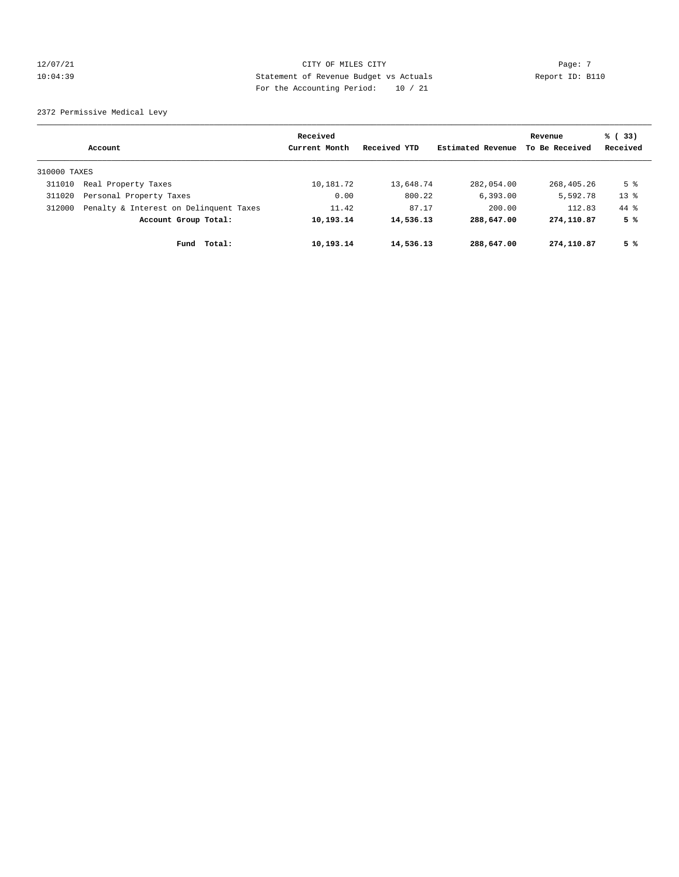## 12/07/21 Page: 7 Page: 7 Page: 7 Page: 7 Page: 7 Page: 7 Page: 7 Page: 7 Page: 7 Page: 7 Page: 7 Page: 7 Page: 7 Page: 7 Page: 7 Page: 7 Page: 7 Page: 7 Page: 7 Page: 7 Page: 7 Page: 7 Page: 7 Page: 7 Page: 7 Page: 7 Page: 10:04:39 Statement of Revenue Budget vs Actuals Report ID: B110 For the Accounting Period: 10 / 21

2372 Permissive Medical Levy

|              | Account                                | Received<br>Current Month | Received YTD | Estimated Revenue | Revenue<br>To Be Received | % (33)<br>Received |
|--------------|----------------------------------------|---------------------------|--------------|-------------------|---------------------------|--------------------|
| 310000 TAXES |                                        |                           |              |                   |                           |                    |
| 311010       | Real Property Taxes                    | 10,181.72                 | 13,648.74    | 282,054.00        | 268,405.26                | 5 <sup>8</sup>     |
| 311020       | Personal Property Taxes                | 0.00                      | 800.22       | 6, 393.00         | 5,592.78                  | $13*$              |
| 312000       | Penalty & Interest on Delinquent Taxes | 11.42                     | 87.17        | 200.00            | 112.83                    | $44*$              |
|              | Account Group Total:                   | 10,193.14                 | 14,536.13    | 288,647.00        | 274,110.87                | 5 %                |
|              | Total:<br>Fund                         | 10,193.14                 | 14,536.13    | 288,647.00        | 274,110.87                | 5 %                |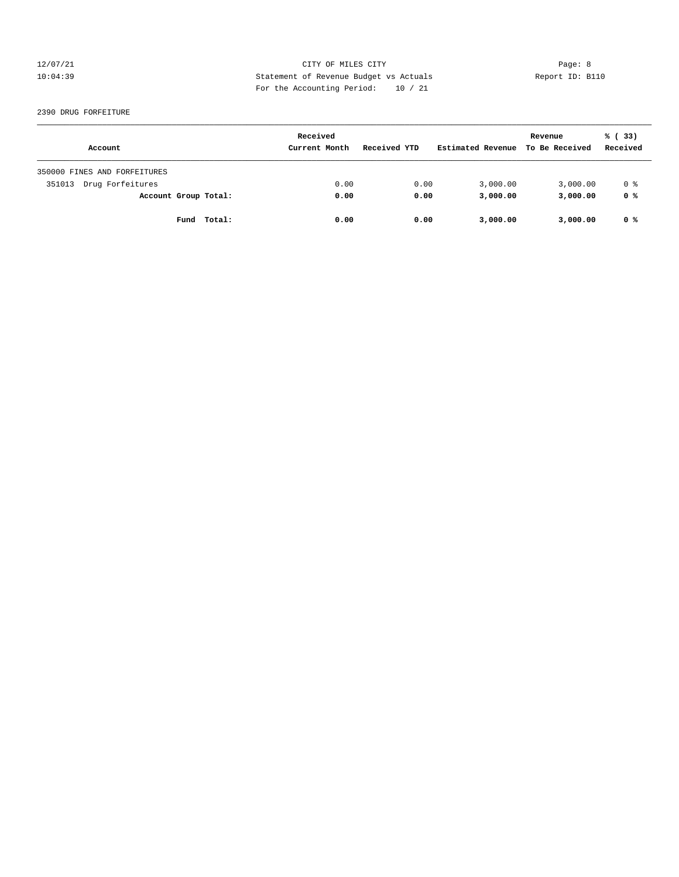12/07/21 Page: 8 Page: 8 10:04:39 Statement of Revenue Budget vs Actuals Report ID: B110 For the Accounting Period: 10 / 21

#### 2390 DRUG FORFEITURE

| Account                      | Received<br>Current Month | Received YTD | Estimated Revenue | Revenue<br>To Be Received | % (33)<br>Received |
|------------------------------|---------------------------|--------------|-------------------|---------------------------|--------------------|
| 350000 FINES AND FORFEITURES |                           |              |                   |                           |                    |
| Drug Forfeitures<br>351013   | 0.00                      | 0.00         | 3,000.00          | 3,000.00                  | 0 %                |
| Account Group Total:         | 0.00                      | 0.00         | 3,000.00          | 3,000.00                  | 0 %                |
| Fund Total:                  | 0.00                      | 0.00         | 3,000.00          | 3,000.00                  | 0 %                |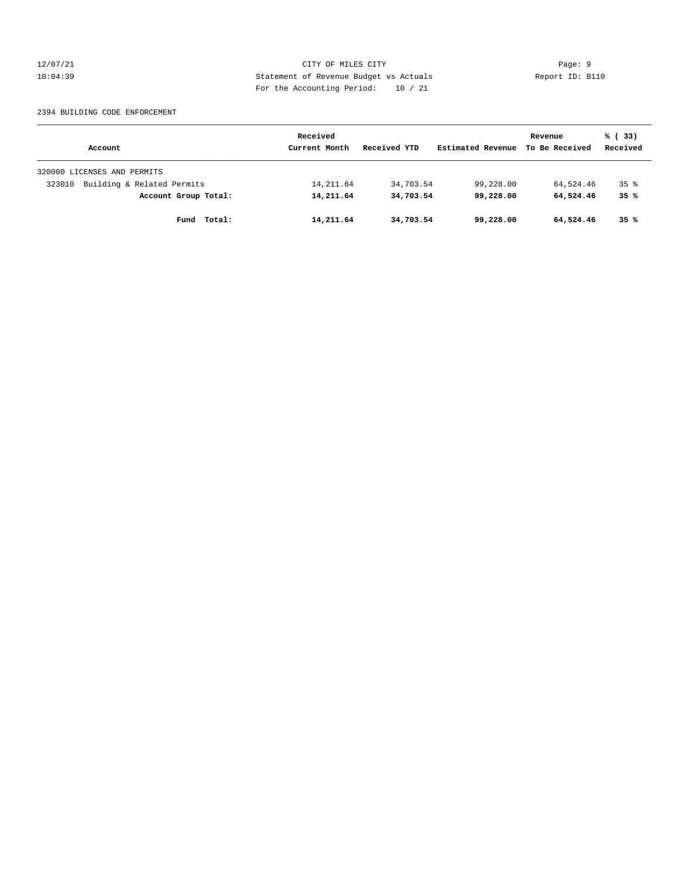12/07/21 Page: 9 10:04:39 Statement of Revenue Budget vs Actuals Report ID: B110 For the Accounting Period: 10 / 21

#### 2394 BUILDING CODE ENFORCEMENT

|                                      | Received      |              | Revenue           | % (33)         |                 |
|--------------------------------------|---------------|--------------|-------------------|----------------|-----------------|
| Account                              | Current Month | Received YTD | Estimated Revenue | To Be Received | Received        |
| 320000 LICENSES AND PERMITS          |               |              |                   |                |                 |
| Building & Related Permits<br>323010 | 14,211.64     | 34,703.54    | 99,228.00         | 64,524.46      | 35 <sup>8</sup> |
| Account Group Total:                 | 14,211.64     | 34,703.54    | 99,228,00         | 64,524.46      | 35%             |
| Total:<br>Fund                       | 14,211.64     | 34,703.54    | 99,228.00         | 64,524.46      | 35%             |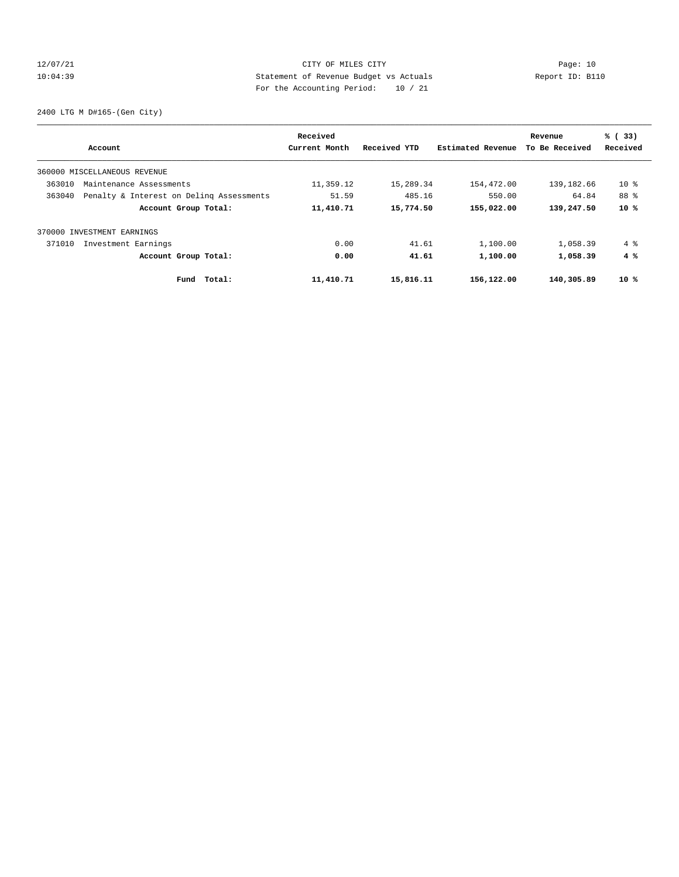## 12/07/21 CITY OF MILES CITY Page: 10 10:04:39 Statement of Revenue Budget vs Actuals Report ID: B110 For the Accounting Period: 10 / 21

2400 LTG M D#165-(Gen City)

| Account                                            | Received<br>Current Month | Received YTD | Estimated Revenue | Revenue<br>To Be Received | % (33)<br>Received |
|----------------------------------------------------|---------------------------|--------------|-------------------|---------------------------|--------------------|
| 360000 MISCELLANEOUS REVENUE                       |                           |              |                   |                           |                    |
| 363010<br>Maintenance Assessments                  | 11,359.12                 | 15,289.34    | 154,472.00        | 139,182.66                | $10*$              |
| 363040<br>Penalty & Interest on Deling Assessments | 51.59                     | 485.16       | 550.00            | 64.84                     | 88 %               |
| Account Group Total:                               | 11,410.71                 | 15,774.50    | 155,022.00        | 139,247.50                | $10*$              |
| 370000 INVESTMENT EARNINGS                         |                           |              |                   |                           |                    |
| 371010<br>Investment Earnings                      | 0.00                      | 41.61        | 1,100.00          | 1,058.39                  | 4 %                |
| Account Group Total:                               | 0.00                      | 41.61        | 1,100.00          | 1,058.39                  | 4%                 |
| Total:<br>Fund                                     | 11,410.71                 | 15,816.11    | 156,122.00        | 140,305.89                | $10*$              |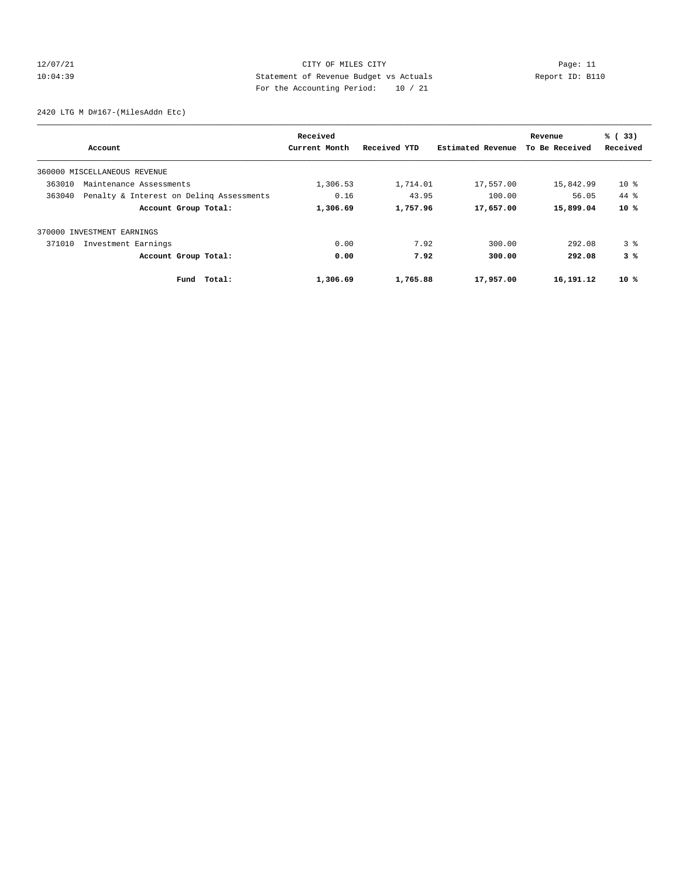## 12/07/21 CITY OF MILES CITY Page: 11 10:04:39 Statement of Revenue Budget vs Actuals Report ID: B110 For the Accounting Period: 10 / 21

2420 LTG M D#167-(MilesAddn Etc)

|        | Account                                  | Received<br>Current Month | Received YTD | Estimated Revenue | Revenue<br>To Be Received | % (33)<br>Received |
|--------|------------------------------------------|---------------------------|--------------|-------------------|---------------------------|--------------------|
|        | 360000 MISCELLANEOUS REVENUE             |                           |              |                   |                           |                    |
| 363010 | Maintenance Assessments                  | 1,306.53                  | 1,714.01     | 17,557.00         | 15,842.99                 | $10*$              |
| 363040 | Penalty & Interest on Deling Assessments | 0.16                      | 43.95        | 100.00            | 56.05                     | $44*$              |
|        | Account Group Total:                     | 1,306.69                  | 1,757.96     | 17,657.00         | 15,899.04                 | $10*$              |
|        | 370000 INVESTMENT EARNINGS               |                           |              |                   |                           |                    |
| 371010 | Investment Earnings                      | 0.00                      | 7.92         | 300.00            | 292.08                    | 3 <sup>8</sup>     |
|        | Account Group Total:                     | 0.00                      | 7.92         | 300.00            | 292.08                    | 3%                 |
|        | Total:<br>Fund                           | 1,306.69                  | 1,765.88     | 17,957.00         | 16,191.12                 | $10*$              |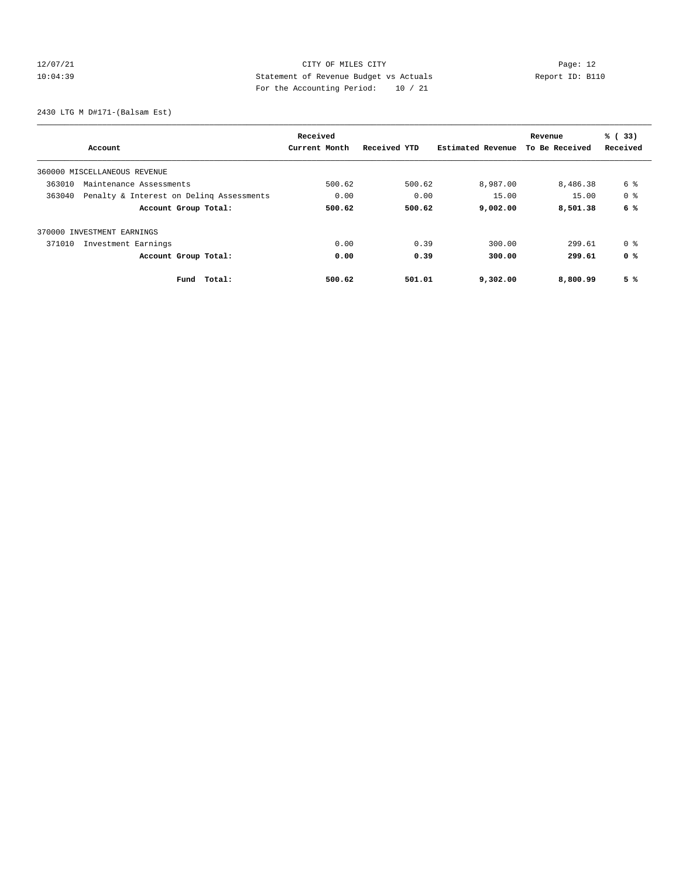## 12/07/21 CITY OF MILES CITY Page: 12 10:04:39 Statement of Revenue Budget vs Actuals Report ID: B110 For the Accounting Period: 10 / 21

2430 LTG M D#171-(Balsam Est)

| Account                                            | Received<br>Current Month | Received YTD | Estimated Revenue | Revenue<br>To Be Received | % (33)<br>Received |
|----------------------------------------------------|---------------------------|--------------|-------------------|---------------------------|--------------------|
| 360000 MISCELLANEOUS REVENUE                       |                           |              |                   |                           |                    |
| 363010<br>Maintenance Assessments                  | 500.62                    | 500.62       | 8,987.00          | 8,486.38                  | 6 %                |
| 363040<br>Penalty & Interest on Deling Assessments | 0.00                      | 0.00         | 15.00             | 15.00                     | 0 %                |
| Account Group Total:                               | 500.62                    | 500.62       | 9,002.00          | 8,501.38                  | 6 %                |
| 370000 INVESTMENT EARNINGS                         |                           |              |                   |                           |                    |
| Investment Earnings<br>371010                      | 0.00                      | 0.39         | 300.00            | 299.61                    | 0 %                |
| Account Group Total:                               | 0.00                      | 0.39         | 300.00            | 299.61                    | 0 %                |
| Total:<br>Fund                                     | 500.62                    | 501.01       | 9,302.00          | 8,800.99                  | 5%                 |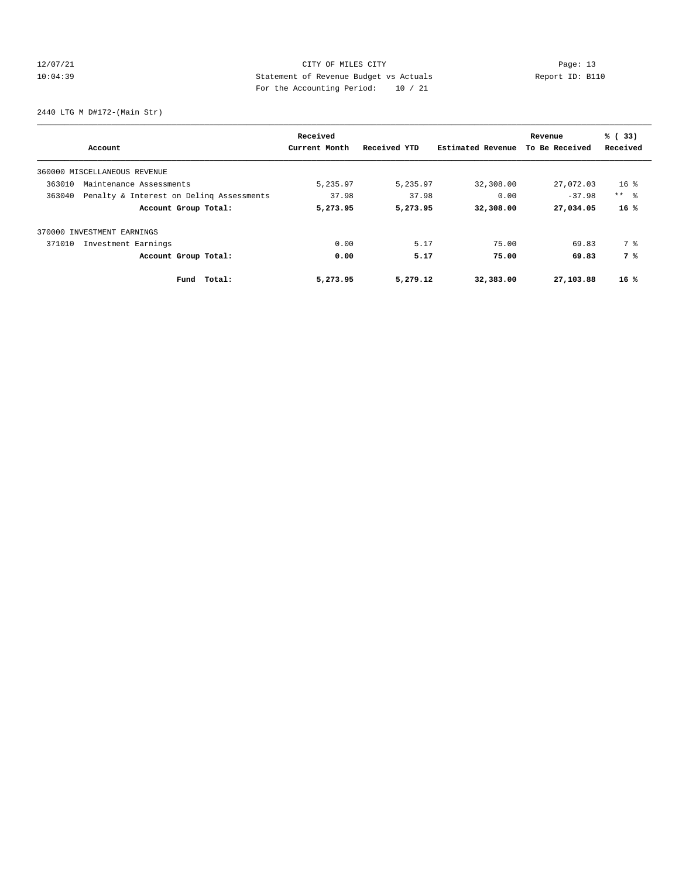## 12/07/21 CITY OF MILES CITY Page: 13 10:04:39 Statement of Revenue Budget vs Actuals Report ID: B110 For the Accounting Period: 10 / 21

2440 LTG M D#172-(Main Str)

| Account                                            |                      | Received<br>Current Month | Received YTD | Estimated Revenue | Revenue<br>To Be Received | % (33)<br>Received |
|----------------------------------------------------|----------------------|---------------------------|--------------|-------------------|---------------------------|--------------------|
|                                                    |                      |                           |              |                   |                           |                    |
| 360000 MISCELLANEOUS REVENUE                       |                      |                           |              |                   |                           |                    |
| 363010<br>Maintenance Assessments                  |                      | 5,235.97                  | 5,235.97     | 32,308.00         | 27,072.03                 | $16$ %             |
| Penalty & Interest on Deling Assessments<br>363040 |                      | 37.98                     | 37.98        | 0.00              | $-37.98$                  | $***$ $\approx$    |
|                                                    | Account Group Total: | 5,273.95                  | 5,273.95     | 32,308.00         | 27,034.05                 | 16%                |
| 370000 INVESTMENT EARNINGS                         |                      |                           |              |                   |                           |                    |
| 371010<br>Investment Earnings                      |                      | 0.00                      | 5.17         | 75.00             | 69.83                     | 7 %                |
|                                                    | Account Group Total: | 0.00                      | 5.17         | 75.00             | 69.83                     | 7 %                |
|                                                    | Total:<br>Fund       | 5,273.95                  | 5,279.12     | 32,383.00         | 27,103.88                 | $16*$              |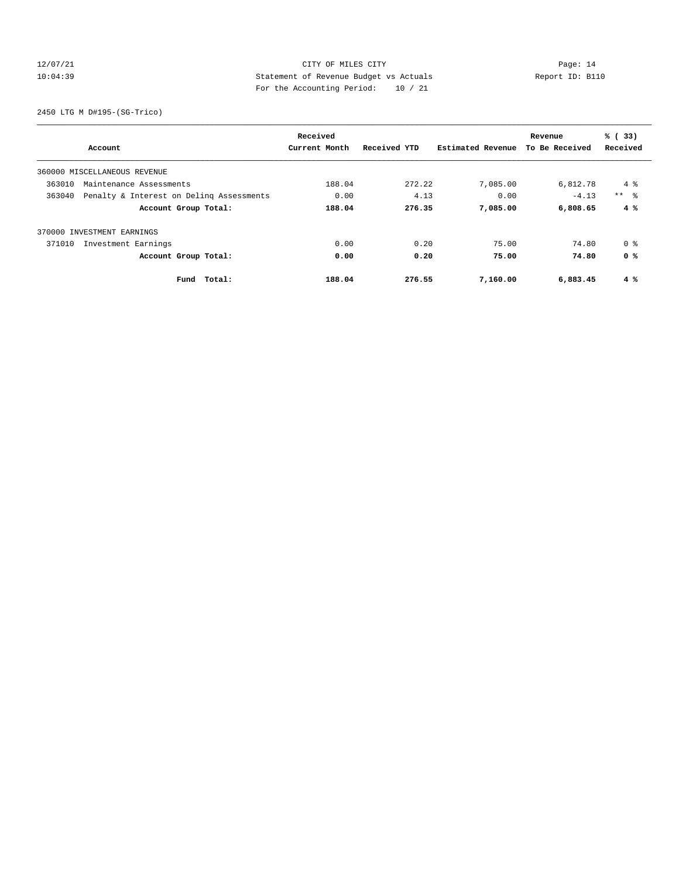## 12/07/21 CITY OF MILES CITY Page: 14 10:04:39 Statement of Revenue Budget vs Actuals Report ID: B110 For the Accounting Period: 10 / 21

2450 LTG M D#195-(SG-Trico)

| Account                                            | Received<br>Current Month | Received YTD | Estimated Revenue | Revenue<br>To Be Received | % (33)<br>Received |
|----------------------------------------------------|---------------------------|--------------|-------------------|---------------------------|--------------------|
| 360000 MISCELLANEOUS REVENUE                       |                           |              |                   |                           |                    |
| 363010<br>Maintenance Assessments                  | 188.04                    | 272.22       | 7,085.00          | 6,812.78                  | $4\degree$         |
| 363040<br>Penalty & Interest on Deling Assessments | 0.00                      | 4.13         | 0.00              | $-4.13$                   | $***$ $ -$         |
| Account Group Total:                               | 188.04                    | 276.35       | 7,085.00          | 6,808.65                  | 4%                 |
| 370000 INVESTMENT EARNINGS                         |                           |              |                   |                           |                    |
| 371010<br>Investment Earnings                      | 0.00                      | 0.20         | 75.00             | 74.80                     | 0 %                |
| Account Group Total:                               | 0.00                      | 0.20         | 75.00             | 74.80                     | 0 %                |
| Fund Total:                                        | 188.04                    | 276.55       | 7,160.00          | 6,883.45                  | $4 \degree$        |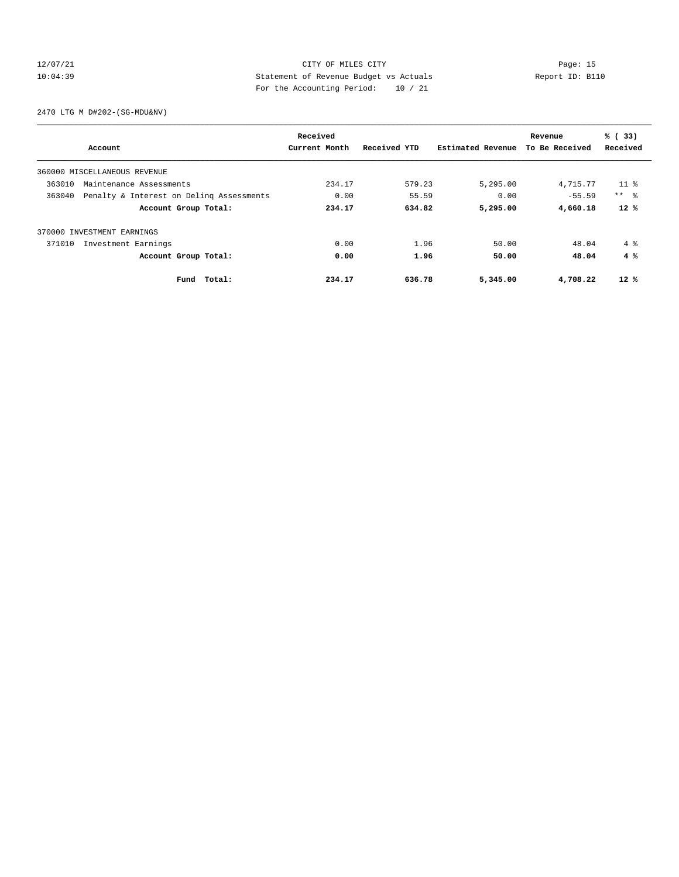## 12/07/21 CITY OF MILES CITY Page: 15 10:04:39 Statement of Revenue Budget vs Actuals Report ID: B110 For the Accounting Period: 10 / 21

2470 LTG M D#202-(SG-MDU&NV)

|        |                                          | Received      |              |                   | Revenue        | % (33)       |
|--------|------------------------------------------|---------------|--------------|-------------------|----------------|--------------|
|        | Account                                  | Current Month | Received YTD | Estimated Revenue | To Be Received | Received     |
|        | 360000 MISCELLANEOUS REVENUE             |               |              |                   |                |              |
| 363010 | Maintenance Assessments                  | 234.17        | 579.23       | 5,295.00          | 4,715.77       | $11$ %       |
| 363040 | Penalty & Interest on Deling Assessments | 0.00          | 55.59        | 0.00              | $-55.59$       | $***$ $ -$   |
|        | Account Group Total:                     | 234.17        | 634.82       | 5,295.00          | 4,660.18       | $12*$        |
|        | 370000 INVESTMENT EARNINGS               |               |              |                   |                |              |
| 371010 | Investment Earnings                      | 0.00          | 1.96         | 50.00             | 48.04          | $4 \text{ }$ |
|        | Account Group Total:                     | 0.00          | 1.96         | 50.00             | 48.04          | 4%           |
|        | Total:<br>Fund                           | 234.17        | 636.78       | 5,345.00          | 4,708.22       | $12*$        |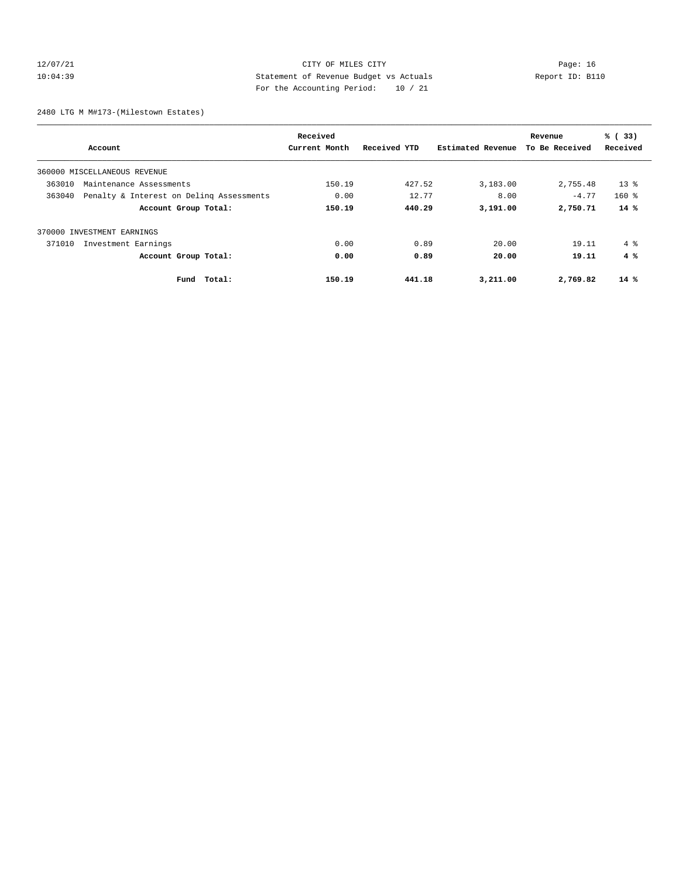## 12/07/21 CITY OF MILES CITY Page: 16 10:04:39 Statement of Revenue Budget vs Actuals Report ID: B110 For the Accounting Period: 10 / 21

2480 LTG M M#173-(Milestown Estates)

| Account                       |                                          | Received<br>Current Month | Received YTD | Estimated Revenue | Revenue<br>To Be Received | % (33)<br>Received |
|-------------------------------|------------------------------------------|---------------------------|--------------|-------------------|---------------------------|--------------------|
| 360000 MISCELLANEOUS REVENUE  |                                          |                           |              |                   |                           |                    |
| 363010                        | Maintenance Assessments                  | 150.19                    | 427.52       | 3,183.00          | 2,755.48                  | $13*$              |
| 363040                        | Penalty & Interest on Deling Assessments | 0.00                      | 12.77        | 8.00              | $-4.77$                   | $160$ %            |
|                               | Account Group Total:                     | 150.19                    | 440.29       | 3,191.00          | 2,750.71                  | $14*$              |
| 370000 INVESTMENT EARNINGS    |                                          |                           |              |                   |                           |                    |
| Investment Earnings<br>371010 |                                          | 0.00                      | 0.89         | 20.00             | 19.11                     | $4 \text{ }$       |
|                               | Account Group Total:                     | 0.00                      | 0.89         | 20.00             | 19.11                     | 4%                 |
|                               | Total:<br>Fund                           | 150.19                    | 441.18       | 3,211.00          | 2,769.82                  | $14*$              |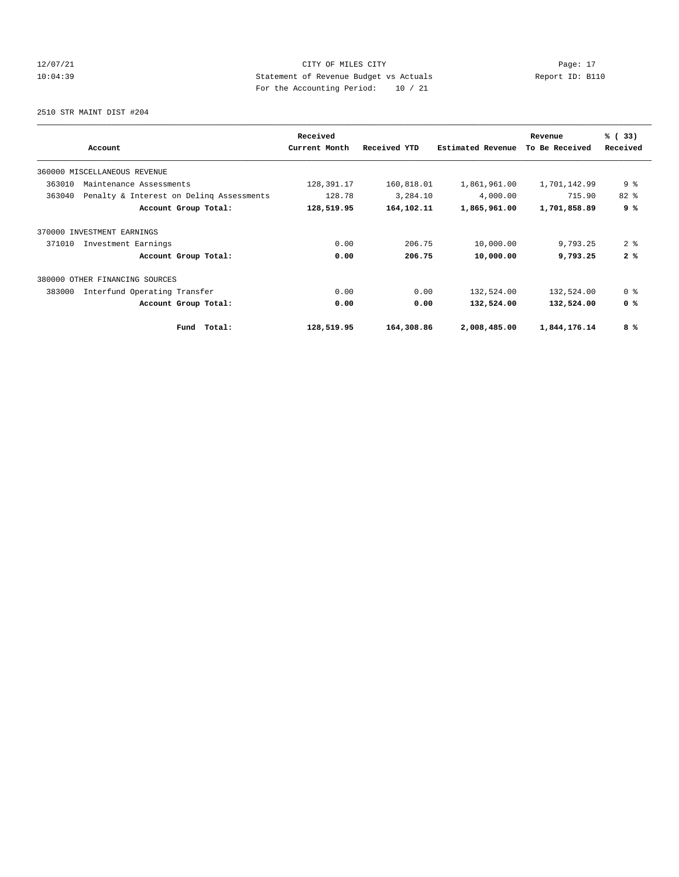## 12/07/21 CITY OF MILES CITY Page: 17 10:04:39 Statement of Revenue Budget vs Actuals Report ID: B110 For the Accounting Period: 10 / 21

2510 STR MAINT DIST #204

|                                                    | Received      |              |                   | Revenue        | % (33)         |
|----------------------------------------------------|---------------|--------------|-------------------|----------------|----------------|
| Account                                            | Current Month | Received YTD | Estimated Revenue | To Be Received | Received       |
| 360000 MISCELLANEOUS REVENUE                       |               |              |                   |                |                |
| 363010<br>Maintenance Assessments                  | 128,391.17    | 160,818.01   | 1,861,961.00      | 1,701,142.99   | 9 <sup>°</sup> |
| 363040<br>Penalty & Interest on Deling Assessments | 128.78        | 3,284.10     | 4,000.00          | 715.90         | $82*$          |
| Account Group Total:                               | 128,519.95    | 164,102.11   | 1,865,961.00      | 1,701,858.89   | 9%             |
| 370000 INVESTMENT EARNINGS                         |               |              |                   |                |                |
| 371010<br>Investment Earnings                      | 0.00          | 206.75       | 10,000.00         | 9,793.25       | 2 <sup>8</sup> |
| Account Group Total:                               | 0.00          | 206.75       | 10,000.00         | 9,793.25       | 2%             |
| 380000 OTHER FINANCING SOURCES                     |               |              |                   |                |                |
| Interfund Operating Transfer<br>383000             | 0.00          | 0.00         | 132,524.00        | 132,524.00     | 0 <sup>8</sup> |
| Account Group Total:                               | 0.00          | 0.00         | 132,524.00        | 132,524.00     | 0 <sup>8</sup> |
| Total:<br>Fund                                     | 128,519.95    | 164,308.86   | 2,008,485.00      | 1,844,176.14   | 8 %            |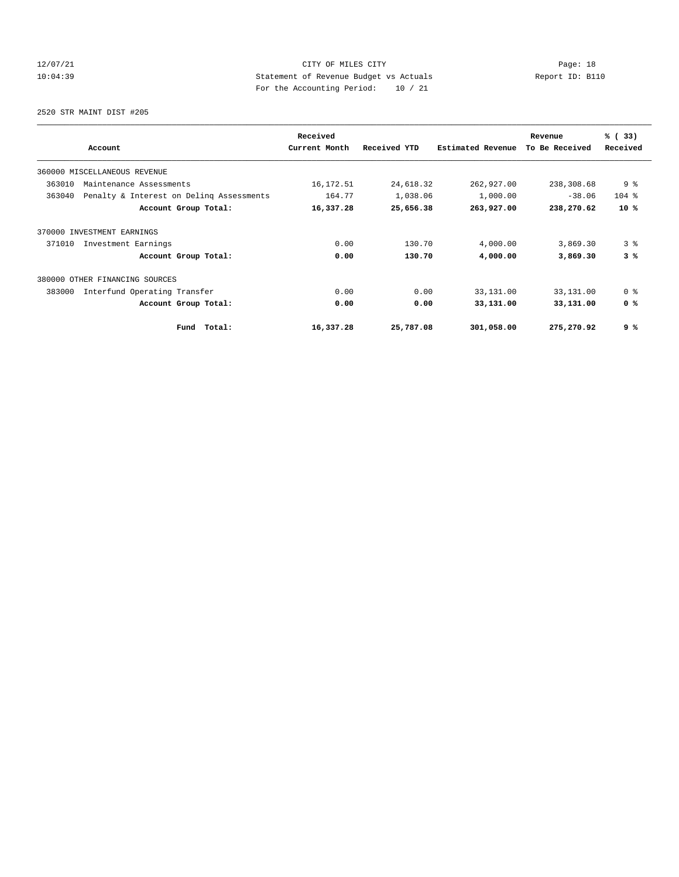## 12/07/21 CITY OF MILES CITY Page: 18 10:04:39 Statement of Revenue Budget vs Actuals Report ID: B110 For the Accounting Period: 10 / 21

2520 STR MAINT DIST #205

|                                                    | Received      |              |                   | Revenue        | % (33)         |
|----------------------------------------------------|---------------|--------------|-------------------|----------------|----------------|
| Account                                            | Current Month | Received YTD | Estimated Revenue | To Be Received | Received       |
| 360000 MISCELLANEOUS REVENUE                       |               |              |                   |                |                |
| 363010<br>Maintenance Assessments                  | 16,172.51     | 24,618.32    | 262,927.00        | 238,308.68     | 9 <sup>°</sup> |
| 363040<br>Penalty & Interest on Deling Assessments | 164.77        | 1,038.06     | 1,000.00          | $-38.06$       | $104$ %        |
| Account Group Total:                               | 16,337.28     | 25,656.38    | 263,927.00        | 238,270.62     | $10*$          |
| 370000 INVESTMENT EARNINGS                         |               |              |                   |                |                |
| 371010<br>Investment Earnings                      | 0.00          | 130.70       | 4,000.00          | 3,869.30       | 3 <sup>8</sup> |
| Account Group Total:                               | 0.00          | 130.70       | 4,000.00          | 3,869.30       | 3%             |
| 380000 OTHER FINANCING SOURCES                     |               |              |                   |                |                |
| 383000<br>Interfund Operating Transfer             | 0.00          | 0.00         | 33,131.00         | 33,131.00      | 0 <sup>8</sup> |
| Account Group Total:                               | 0.00          | 0.00         | 33,131.00         | 33,131.00      | 0 <sup>8</sup> |
| Total:<br>Fund                                     | 16,337.28     | 25,787.08    | 301,058.00        | 275,270.92     | 9 %            |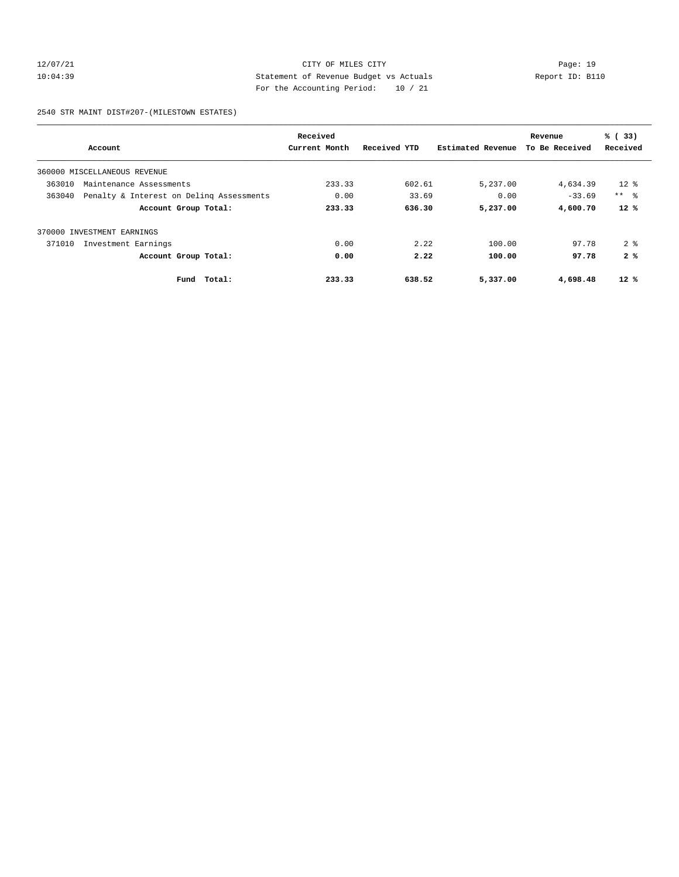## 12/07/21 CITY OF MILES CITY Page: 19 10:04:39 Statement of Revenue Budget vs Actuals Report ID: B110 For the Accounting Period: 10 / 21

2540 STR MAINT DIST#207-(MILESTOWN ESTATES)

|        | Received                                 |               |              |                   | Revenue        | % (33)          |
|--------|------------------------------------------|---------------|--------------|-------------------|----------------|-----------------|
|        | Account                                  | Current Month | Received YTD | Estimated Revenue | To Be Received | Received        |
|        | 360000 MISCELLANEOUS REVENUE             |               |              |                   |                |                 |
| 363010 | Maintenance Assessments                  | 233.33        | 602.61       | 5,237.00          | 4,634.39       | $12*$           |
| 363040 | Penalty & Interest on Deling Assessments | 0.00          | 33.69        | 0.00              | $-33.69$       | $***$ $\approx$ |
|        | Account Group Total:                     | 233.33        | 636.30       | 5,237.00          | 4,600.70       | $12*$           |
|        | 370000 INVESTMENT EARNINGS               |               |              |                   |                |                 |
| 371010 | Investment Earnings                      | 0.00          | 2.22         | 100.00            | 97.78          | 2 <sup>8</sup>  |
|        | Account Group Total:                     | 0.00          | 2.22         | 100.00            | 97.78          | 2%              |
|        | Total:<br>Fund                           | 233.33        | 638.52       | 5,337.00          | 4,698.48       | $12*$           |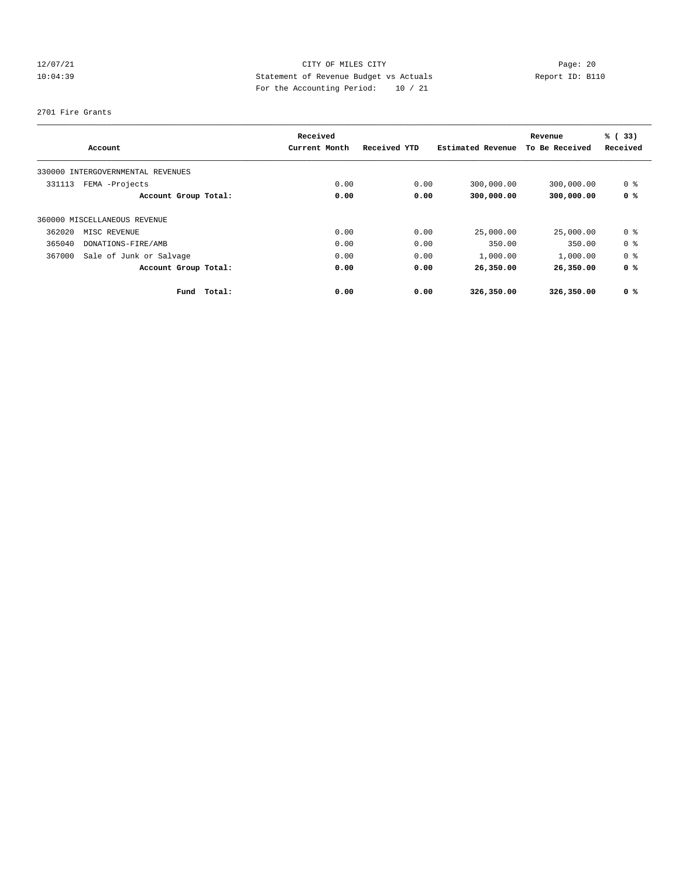## 12/07/21 CITY OF MILES CITY Page: 20 10:04:39 Statement of Revenue Budget vs Actuals Report ID: B110 For the Accounting Period: 10 / 21

#### 2701 Fire Grants

|        |                                   | Received      |              |                   | Revenue        | % (33)         |
|--------|-----------------------------------|---------------|--------------|-------------------|----------------|----------------|
|        | Account                           | Current Month | Received YTD | Estimated Revenue | To Be Received | Received       |
|        | 330000 INTERGOVERNMENTAL REVENUES |               |              |                   |                |                |
| 331113 | FEMA -Projects                    | 0.00          | 0.00         | 300,000.00        | 300,000.00     | 0 <sup>8</sup> |
|        | Account Group Total:              | 0.00          | 0.00         | 300,000.00        | 300,000.00     | 0 <sup>8</sup> |
|        | 360000 MISCELLANEOUS REVENUE      |               |              |                   |                |                |
| 362020 | MISC REVENUE                      | 0.00          | 0.00         | 25,000.00         | 25,000.00      | 0 <sup>8</sup> |
| 365040 | DONATIONS-FIRE/AMB                | 0.00          | 0.00         | 350.00            | 350.00         | 0 <sup>8</sup> |
| 367000 | Sale of Junk or Salvage           | 0.00          | 0.00         | 1,000.00          | 1,000.00       | 0 <sup>8</sup> |
|        | Account Group Total:              | 0.00          | 0.00         | 26,350.00         | 26,350.00      | 0 <sup>8</sup> |
|        | Total:<br>Fund                    | 0.00          | 0.00         | 326,350.00        | 326,350.00     | 0 <sup>8</sup> |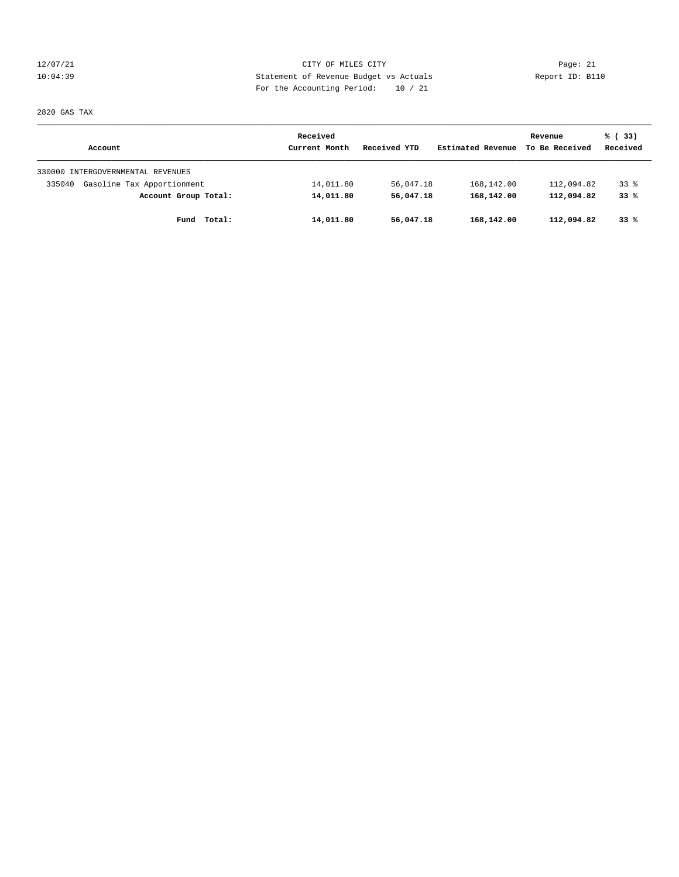12/07/21 CITY OF MILES CITY Page: 21 10:04:39 Statement of Revenue Budget vs Actuals Report ID: B110 For the Accounting Period: 10 / 21

2820 GAS TAX

|                                      | Received      |              |                   | Revenue        | % (33)   |
|--------------------------------------|---------------|--------------|-------------------|----------------|----------|
| Account                              | Current Month | Received YTD | Estimated Revenue | To Be Received | Received |
| 330000 INTERGOVERNMENTAL REVENUES    |               |              |                   |                |          |
| Gasoline Tax Apportionment<br>335040 | 14,011.80     | 56,047.18    | 168,142.00        | 112,094.82     | 338      |
| Account Group Total:                 | 14,011.80     | 56,047.18    | 168,142.00        | 112,094.82     | 33%      |
| Total:<br>Fund                       | 14,011.80     | 56,047.18    | 168,142.00        | 112,094.82     | 33%      |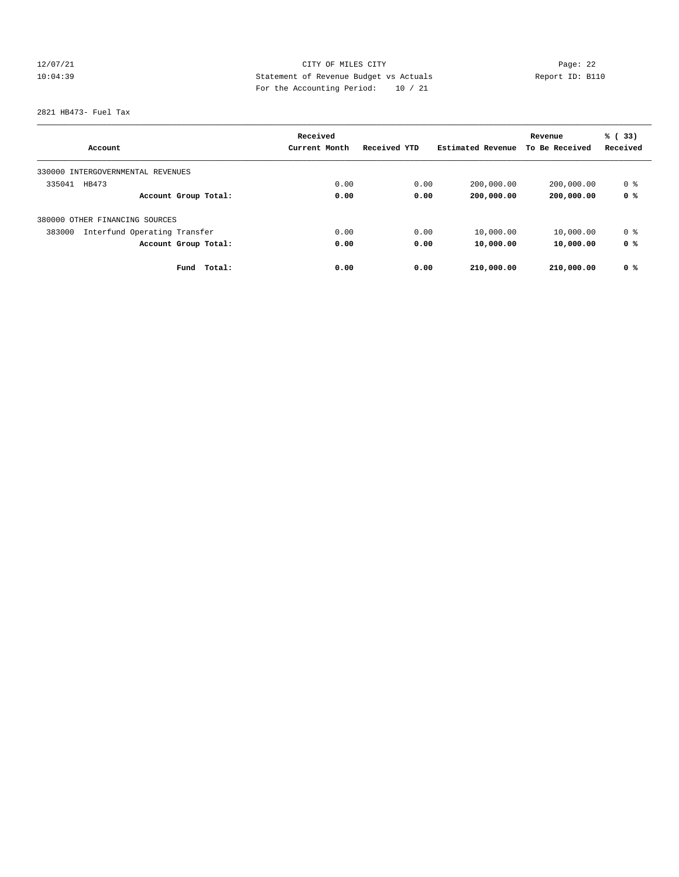## 12/07/21 CITY OF MILES CITY Page: 22 10:04:39 Statement of Revenue Budget vs Actuals Report ID: B110 For the Accounting Period: 10 / 21

2821 HB473- Fuel Tax

|                                        | Received      |              |                   | Revenue        | % (33)   |
|----------------------------------------|---------------|--------------|-------------------|----------------|----------|
| Account                                | Current Month | Received YTD | Estimated Revenue | To Be Received | Received |
| 330000 INTERGOVERNMENTAL REVENUES      |               |              |                   |                |          |
| 335041<br>HB473                        | 0.00          | 0.00         | 200,000.00        | 200,000.00     | 0 %      |
| Account Group Total:                   | 0.00          | 0.00         | 200,000.00        | 200,000.00     | 0 %      |
| 380000 OTHER FINANCING SOURCES         |               |              |                   |                |          |
| 383000<br>Interfund Operating Transfer | 0.00          | 0.00         | 10,000.00         | 10,000.00      | 0 %      |
| Account Group Total:                   | 0.00          | 0.00         | 10,000.00         | 10,000.00      | 0 %      |
| Fund<br>Total:                         | 0.00          | 0.00         | 210,000.00        | 210,000.00     | 0 %      |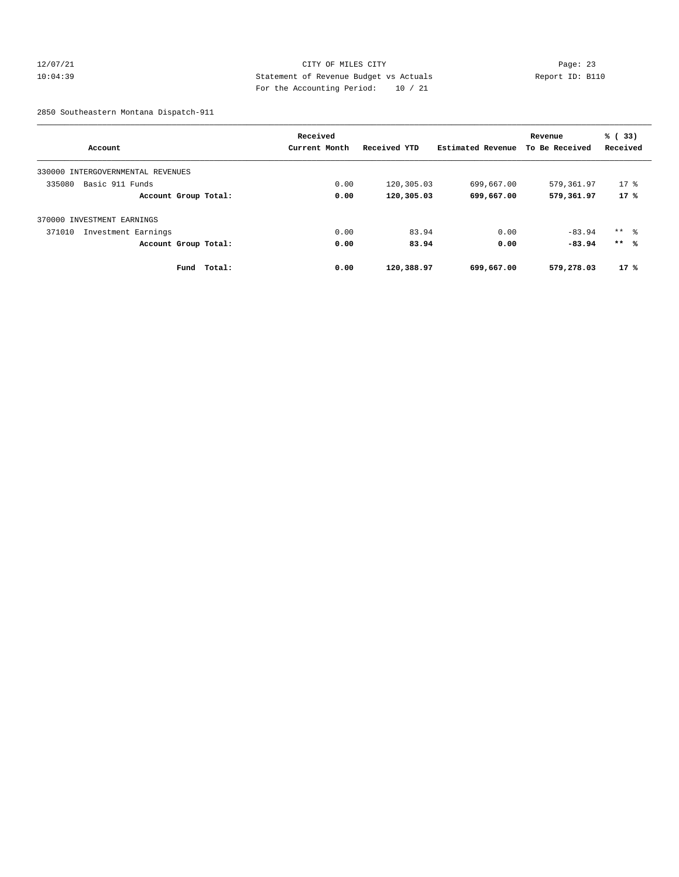## 12/07/21 CITY OF MILES CITY Page: 23 10:04:39 Statement of Revenue Budget vs Actuals Report ID: B110 For the Accounting Period: 10 / 21

2850 Southeastern Montana Dispatch-911

|                                   | Received      |              |                   | Revenue        | % (33)              |
|-----------------------------------|---------------|--------------|-------------------|----------------|---------------------|
| Account                           | Current Month | Received YTD | Estimated Revenue | To Be Received | Received            |
| 330000 INTERGOVERNMENTAL REVENUES |               |              |                   |                |                     |
| 335080<br>Basic 911 Funds         | 0.00          | 120,305.03   | 699,667.00        | 579,361.97     | $17*$               |
| Account Group Total:              | 0.00          | 120,305.03   | 699,667.00        | 579,361.97     | 17%                 |
| 370000 INVESTMENT EARNINGS        |               |              |                   |                |                     |
| 371010<br>Investment Earnings     | 0.00          | 83.94        | 0.00              | $-83.94$       | $***$ $\frac{6}{5}$ |
| Account Group Total:              | 0.00          | 83.94        | 0.00              | $-83.94$       | $***$ %             |
| Total:<br>Fund                    | 0.00          | 120,388.97   | 699,667.00        | 579,278.03     | 17%                 |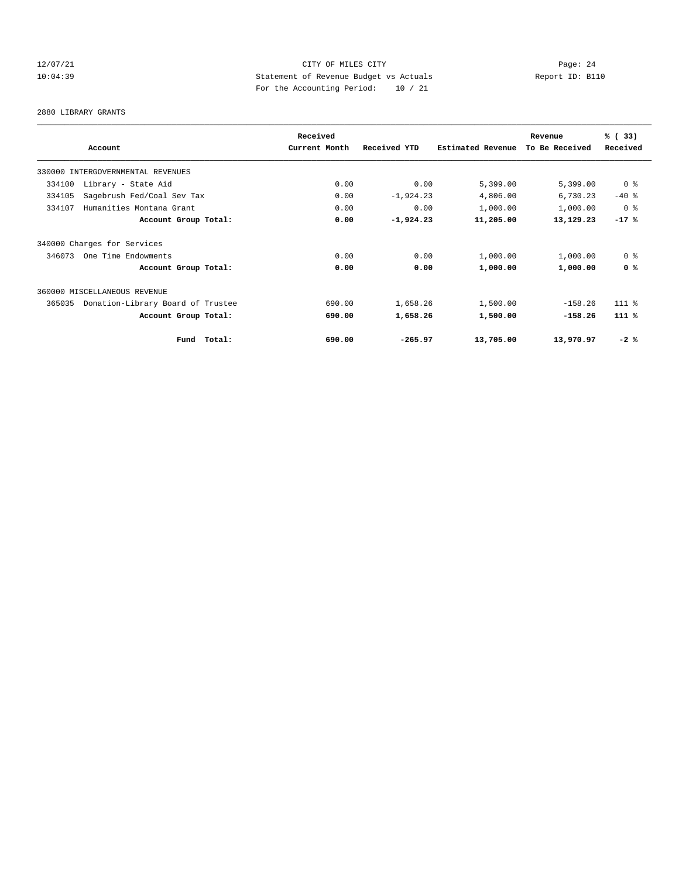## 12/07/21 CITY OF MILES CITY Page: 24 10:04:39 Statement of Revenue Budget vs Actuals Report ID: B110 For the Accounting Period: 10 / 21

2880 LIBRARY GRANTS

|                                             |        | Received      |              |                          | Revenue        | % (33)         |
|---------------------------------------------|--------|---------------|--------------|--------------------------|----------------|----------------|
| Account                                     |        | Current Month | Received YTD | <b>Estimated Revenue</b> | To Be Received | Received       |
| 330000 INTERGOVERNMENTAL REVENUES           |        |               |              |                          |                |                |
| Library - State Aid<br>334100               |        | 0.00          | 0.00         | 5,399.00                 | 5,399.00       | 0 <sup>8</sup> |
| 334105<br>Sagebrush Fed/Coal Sev Tax        |        | 0.00          | $-1,924.23$  | 4,806.00                 | 6,730.23       | $-40$ %        |
| Humanities Montana Grant<br>334107          |        | 0.00          | 0.00         | 1,000.00                 | 1,000.00       | 0 <sup>8</sup> |
| Account Group Total:                        |        | 0.00          | $-1,924.23$  | 11,205.00                | 13,129.23      | $-17$ %        |
| 340000 Charges for Services                 |        |               |              |                          |                |                |
| 346073<br>One Time Endowments               |        | 0.00          | 0.00         | 1,000.00                 | 1,000.00       | 0 <sup>8</sup> |
| Account Group Total:                        |        | 0.00          | 0.00         | 1,000.00                 | 1,000.00       | 0 <sup>8</sup> |
| 360000 MISCELLANEOUS REVENUE                |        |               |              |                          |                |                |
| Donation-Library Board of Trustee<br>365035 |        | 690.00        | 1,658.26     | 1,500.00                 | $-158.26$      | $111$ $%$      |
| Account Group Total:                        |        | 690.00        | 1,658.26     | 1,500.00                 | $-158.26$      | 111 %          |
| Fund                                        | Total: | 690.00        | $-265.97$    | 13,705.00                | 13,970.97      | $-2$ %         |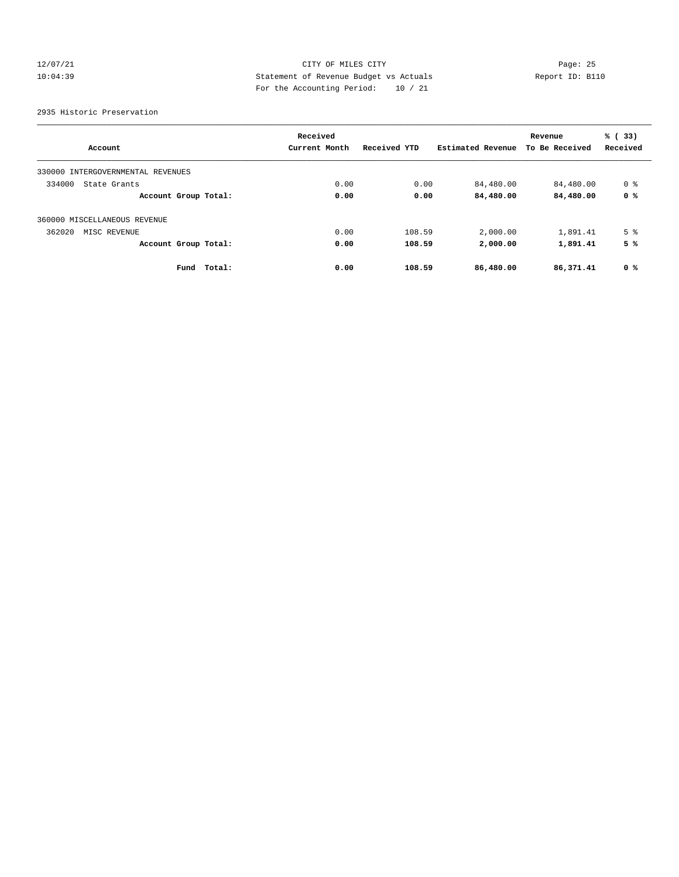## 12/07/21 CITY OF MILES CITY Page: 25 10:04:39 Statement of Revenue Budget vs Actuals Report ID: B110 For the Accounting Period: 10 / 21

2935 Historic Preservation

|                                      |        | Received      |              |                   | Revenue        | % (33)         |
|--------------------------------------|--------|---------------|--------------|-------------------|----------------|----------------|
| Account                              |        | Current Month | Received YTD | Estimated Revenue | To Be Received | Received       |
| INTERGOVERNMENTAL REVENUES<br>330000 |        |               |              |                   |                |                |
| 334000<br>State Grants               |        | 0.00          | 0.00         | 84,480.00         | 84,480.00      | 0 %            |
| Account Group Total:                 |        | 0.00          | 0.00         | 84,480.00         | 84,480.00      | 0 %            |
| 360000 MISCELLANEOUS REVENUE         |        |               |              |                   |                |                |
| 362020<br>MISC REVENUE               |        | 0.00          | 108.59       | 2,000.00          | 1,891.41       | 5 <sup>°</sup> |
| Account Group Total:                 |        | 0.00          | 108.59       | 2,000.00          | 1,891.41       | 5 %            |
| Fund                                 | Total: | 0.00          | 108.59       | 86,480.00         | 86,371.41      | 0 %            |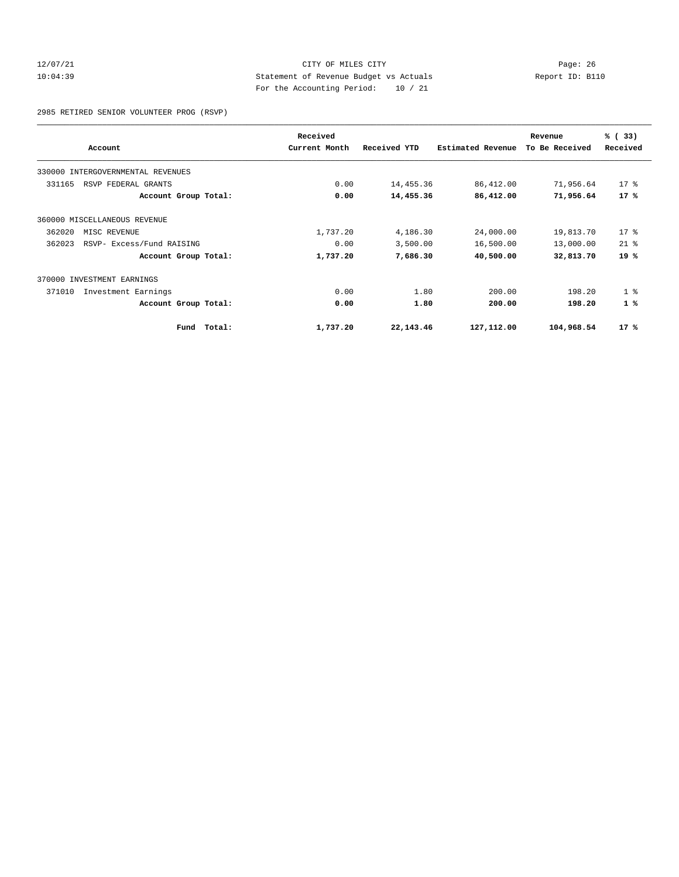#### 12/07/21 CITY OF MILES CITY Page: 26 10:04:39 Statement of Revenue Budget vs Actuals Report ID: B110 For the Accounting Period: 10 / 21

2985 RETIRED SENIOR VOLUNTEER PROG (RSVP)

|        |                                   |        | Received      |              |                          | Revenue        | % (33)         |
|--------|-----------------------------------|--------|---------------|--------------|--------------------------|----------------|----------------|
|        | Account                           |        | Current Month | Received YTD | <b>Estimated Revenue</b> | To Be Received | Received       |
|        | 330000 INTERGOVERNMENTAL REVENUES |        |               |              |                          |                |                |
| 331165 | RSVP FEDERAL GRANTS               |        | 0.00          | 14,455.36    | 86,412.00                | 71,956.64      | $17*$          |
|        | Account Group Total:              |        | 0.00          | 14,455.36    | 86,412.00                | 71,956.64      | $17*$          |
|        | 360000 MISCELLANEOUS REVENUE      |        |               |              |                          |                |                |
| 362020 | MISC REVENUE                      |        | 1,737.20      | 4,186.30     | 24,000.00                | 19,813.70      | $17*$          |
| 362023 | RSVP- Excess/Fund RAISING         |        | 0.00          | 3,500.00     | 16,500.00                | 13,000.00      | $21$ %         |
|        | Account Group Total:              |        | 1,737.20      | 7,686.30     | 40,500.00                | 32,813.70      | $19*$          |
| 370000 | INVESTMENT EARNINGS               |        |               |              |                          |                |                |
| 371010 | Investment Earnings               |        | 0.00          | 1.80         | 200.00                   | 198.20         | 1 <sup>8</sup> |
|        | Account Group Total:              |        | 0.00          | 1.80         | 200.00                   | 198.20         | $1\degree$     |
|        | Fund                              | Total: | 1,737.20      | 22, 143. 46  | 127,112.00               | 104,968.54     | 17%            |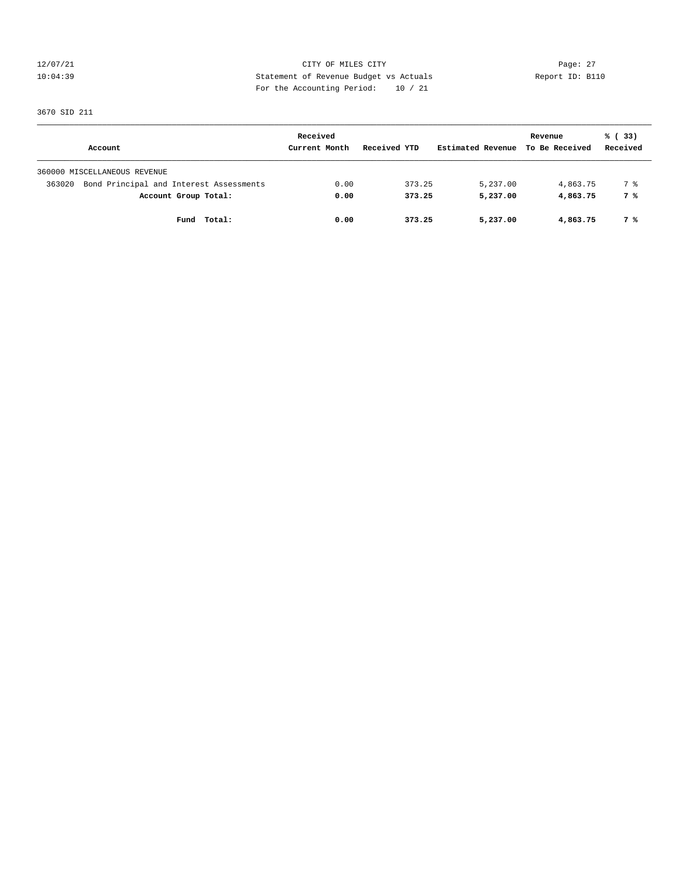12/07/21 CITY OF MILES CITY Page: 27 10:04:39 Statement of Revenue Budget vs Actuals Report ID: B110 For the Accounting Period: 10 / 21

3670 SID 211

|                                                   | Received      |              |                   | Revenue        | % (33)   |
|---------------------------------------------------|---------------|--------------|-------------------|----------------|----------|
| Account                                           | Current Month | Received YTD | Estimated Revenue | To Be Received | Received |
| 360000 MISCELLANEOUS REVENUE                      |               |              |                   |                |          |
| Bond Principal and Interest Assessments<br>363020 | 0.00          | 373.25       | 5,237.00          | 4,863.75       | 7 %      |
| Account Group Total:                              | 0.00          | 373.25       | 5,237.00          | 4,863.75       | 7 %      |
| Fund Total:                                       | 0.00          | 373.25       | 5,237.00          | 4,863.75       | 7 %      |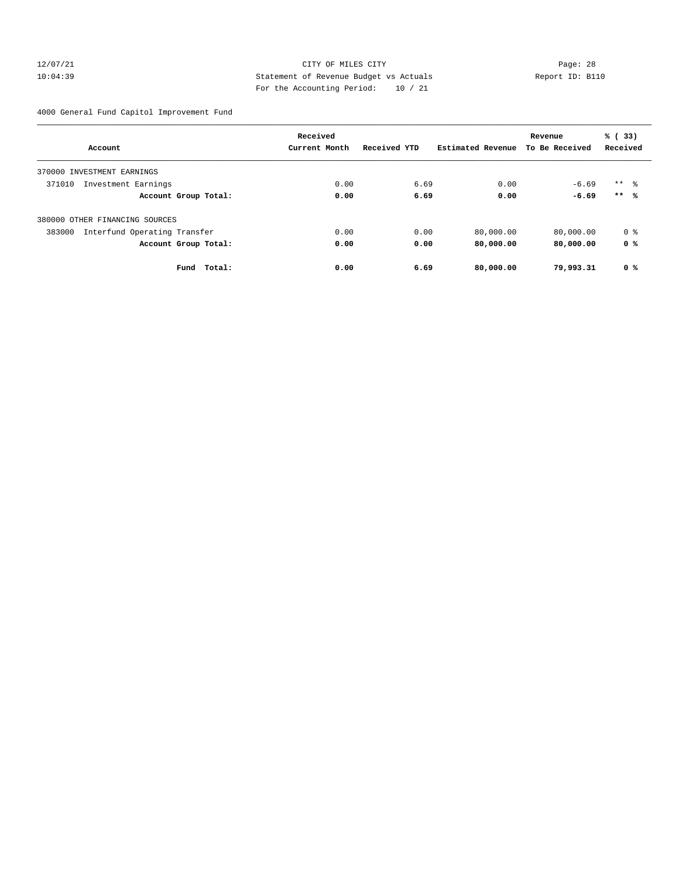#### 12/07/21 CITY OF MILES CITY Page: 28 10:04:39 Statement of Revenue Budget vs Actuals Report ID: B110 For the Accounting Period: 10 / 21

4000 General Fund Capitol Improvement Fund

|                                        | Received      |              |                   | Revenue        | % (33)              |
|----------------------------------------|---------------|--------------|-------------------|----------------|---------------------|
| Account                                | Current Month | Received YTD | Estimated Revenue | To Be Received | Received            |
| INVESTMENT EARNINGS<br>370000          |               |              |                   |                |                     |
| 371010<br>Investment Earnings          | 0.00          | 6.69         | 0.00              | $-6.69$        | $***$ $\frac{6}{3}$ |
| Account Group Total:                   | 0.00          | 6.69         | 0.00              | $-6.69$        | $***$ %             |
| 380000 OTHER FINANCING SOURCES         |               |              |                   |                |                     |
| Interfund Operating Transfer<br>383000 | 0.00          | 0.00         | 80,000.00         | 80,000.00      | 0 %                 |
| Account Group Total:                   | 0.00          | 0.00         | 80,000.00         | 80,000.00      | 0 %                 |
| Fund<br>Total:                         | 0.00          | 6.69         | 80,000.00         | 79,993.31      | 0 %                 |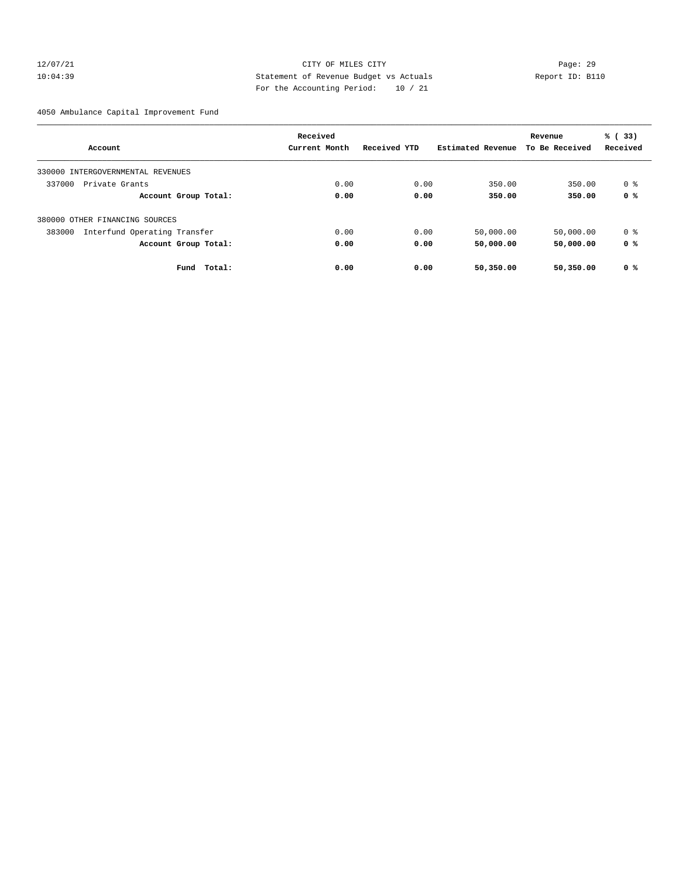#### 12/07/21 CITY OF MILES CITY Page: 29 10:04:39 Statement of Revenue Budget vs Actuals Report ID: B110 For the Accounting Period: 10 / 21

4050 Ambulance Capital Improvement Fund

|                                        | Received      |              |                   | Revenue        | % (33)   |
|----------------------------------------|---------------|--------------|-------------------|----------------|----------|
| Account                                | Current Month | Received YTD | Estimated Revenue | To Be Received | Received |
| 330000 INTERGOVERNMENTAL REVENUES      |               |              |                   |                |          |
| 337000<br>Private Grants               | 0.00          | 0.00         | 350.00            | 350.00         | 0 %      |
| Account Group Total:                   | 0.00          | 0.00         | 350.00            | 350.00         | 0 %      |
| 380000 OTHER FINANCING SOURCES         |               |              |                   |                |          |
| Interfund Operating Transfer<br>383000 | 0.00          | 0.00         | 50,000.00         | 50,000.00      | 0 %      |
| Account Group Total:                   | 0.00          | 0.00         | 50,000.00         | 50,000.00      | 0 %      |
| Fund<br>Total:                         | 0.00          | 0.00         | 50,350.00         | 50,350.00      | 0 %      |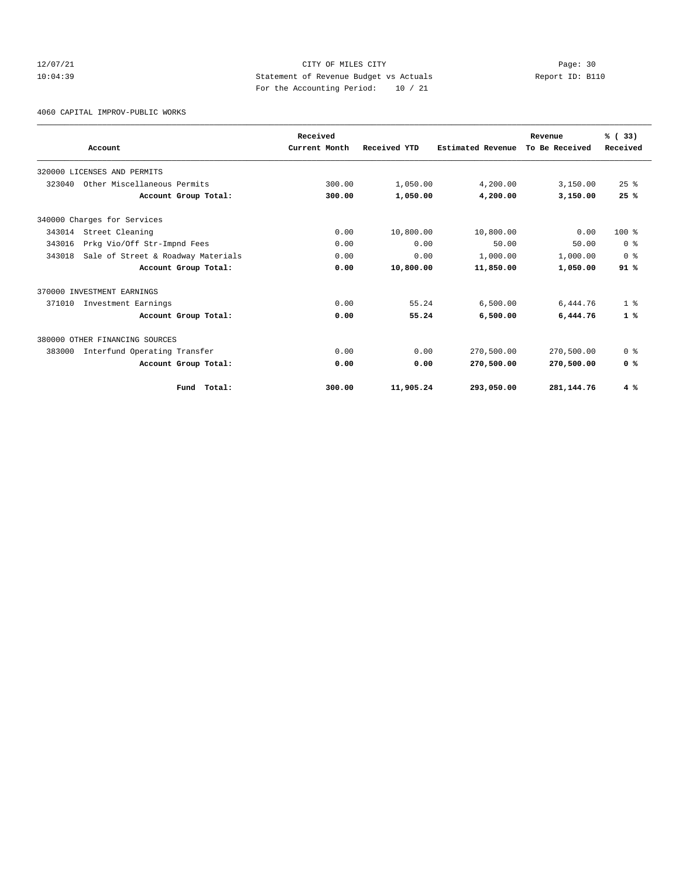## 12/07/21 CITY OF MILES CITY Page: 30 10:04:39 Statement of Revenue Budget vs Actuals Report ID: B110 For the Accounting Period: 10 / 21

4060 CAPITAL IMPROV-PUBLIC WORKS

|        |                                    | Received      |              |                   | Revenue        | % (33)         |
|--------|------------------------------------|---------------|--------------|-------------------|----------------|----------------|
|        | Account                            | Current Month | Received YTD | Estimated Revenue | To Be Received | Received       |
|        | 320000 LICENSES AND PERMITS        |               |              |                   |                |                |
| 323040 | Other Miscellaneous Permits        | 300.00        | 1,050.00     | 4,200.00          | 3,150.00       | 25%            |
|        | Account Group Total:               | 300.00        | 1,050.00     | 4,200.00          | 3,150.00       | 25%            |
|        | 340000 Charges for Services        |               |              |                   |                |                |
| 343014 | Street Cleaning                    | 0.00          | 10,800.00    | 10,800.00         | 0.00           | $100*$         |
| 343016 | Prkg Vio/Off Str-Impnd Fees        | 0.00          | 0.00         | 50.00             | 50.00          | 0 <sup>8</sup> |
| 343018 | Sale of Street & Roadway Materials | 0.00          | 0.00         | 1,000.00          | 1,000.00       | 0 <sup>8</sup> |
|        | Account Group Total:               | 0.00          | 10,800.00    | 11,850.00         | 1,050.00       | 91%            |
|        | 370000 INVESTMENT EARNINGS         |               |              |                   |                |                |
| 371010 | Investment Earnings                | 0.00          | 55.24        | 6,500.00          | 6,444.76       | 1 <sup>8</sup> |
|        | Account Group Total:               | 0.00          | 55.24        | 6,500.00          | 6,444.76       | $1$ %          |
|        | 380000 OTHER FINANCING SOURCES     |               |              |                   |                |                |
| 383000 | Interfund Operating Transfer       | 0.00          | 0.00         | 270,500.00        | 270,500.00     | 0 <sup>8</sup> |
|        | Account Group Total:               | 0.00          | 0.00         | 270,500.00        | 270,500.00     | 0 <sup>8</sup> |
|        | Total:<br>Fund                     | 300.00        | 11,905.24    | 293,050.00        | 281,144.76     | 4%             |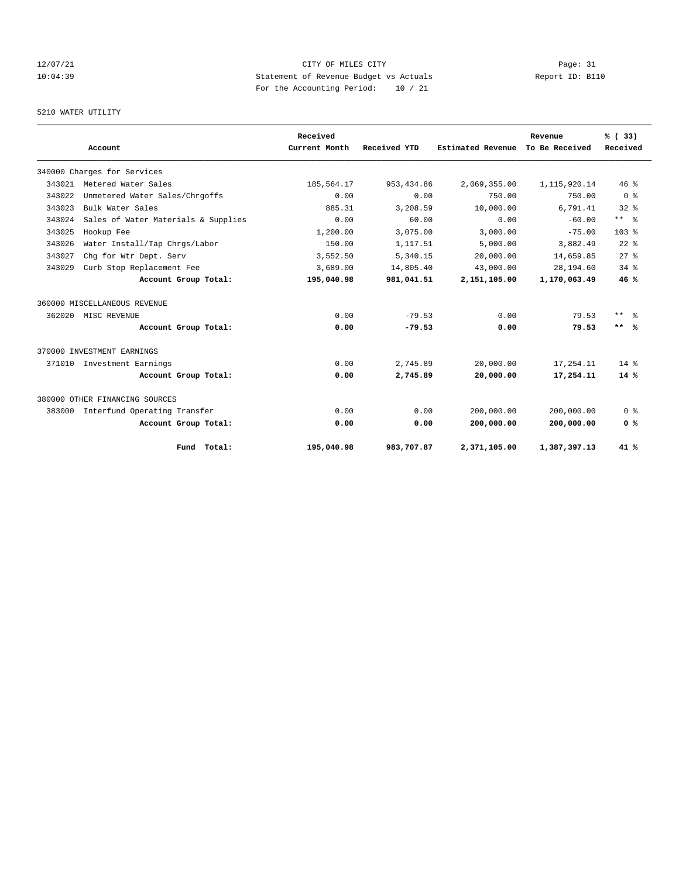## 12/07/21 CITY OF MILES CITY Page: 31 10:04:39 Statement of Revenue Budget vs Actuals Report ID: B110 For the Accounting Period: 10 / 21

#### 5210 WATER UTILITY

|        | Account                             |             | Received<br>Current Month | Received YTD | Estimated Revenue | Revenue<br>To Be Received | % (33)<br>Received |
|--------|-------------------------------------|-------------|---------------------------|--------------|-------------------|---------------------------|--------------------|
|        | 340000 Charges for Services         |             |                           |              |                   |                           |                    |
| 343021 | Metered Water Sales                 |             | 185,564.17                | 953, 434.86  | 2,069,355.00      | 1, 115, 920.14            | 46%                |
| 343022 | Unmetered Water Sales/Chrgoffs      |             | 0.00                      | 0.00         | 750.00            | 750.00                    | 0 <sup>8</sup>     |
| 343023 | Bulk Water Sales                    |             | 885.31                    | 3,208.59     | 10,000.00         | 6,791.41                  | 328                |
| 343024 | Sales of Water Materials & Supplies |             | 0.00                      | 60.00        | 0.00              | $-60.00$                  | $***$ $ -$         |
| 343025 | Hookup Fee                          |             | 1,200.00                  | 3,075.00     | 3,000.00          | $-75.00$                  | 103 <sub>8</sub>   |
| 343026 | Water Install/Tap Chrgs/Labor       |             | 150.00                    | 1,117.51     | 5,000.00          | 3,882.49                  | $22$ $%$           |
| 343027 | Chg for Wtr Dept. Serv              |             | 3,552.50                  | 5,340.15     | 20,000.00         | 14,659.85                 | $27$ $%$           |
| 343029 | Curb Stop Replacement Fee           |             | 3,689.00                  | 14,805.40    | 43,000.00         | 28,194.60                 | $34$ $%$           |
|        | Account Group Total:                |             | 195,040.98                | 981,041.51   | 2,151,105.00      | 1,170,063.49              | 46%                |
|        | 360000 MISCELLANEOUS REVENUE        |             |                           |              |                   |                           |                    |
| 362020 | MISC REVENUE                        |             | 0.00                      | $-79.53$     | 0.00              | 79.53                     | $***$ $ -$         |
|        | Account Group Total:                |             | 0.00                      | $-79.53$     | 0.00              | 79.53                     | $***$ %            |
|        | 370000 INVESTMENT EARNINGS          |             |                           |              |                   |                           |                    |
| 371010 | Investment Earnings                 |             | 0.00                      | 2,745.89     | 20,000.00         | 17,254.11                 | $14*$              |
|        | Account Group Total:                |             | 0.00                      | 2,745.89     | 20,000.00         | 17,254.11                 | $14*$              |
|        | 380000 OTHER FINANCING SOURCES      |             |                           |              |                   |                           |                    |
| 383000 | Interfund Operating Transfer        |             | 0.00                      | 0.00         | 200,000.00        | 200,000.00                | 0 <sup>8</sup>     |
|        | Account Group Total:                |             | 0.00                      | 0.00         | 200,000.00        | 200,000.00                | 0 <sup>8</sup>     |
|        |                                     | Fund Total: | 195,040.98                | 983,707.87   | 2,371,105.00      | 1,387,397.13              | $41*$              |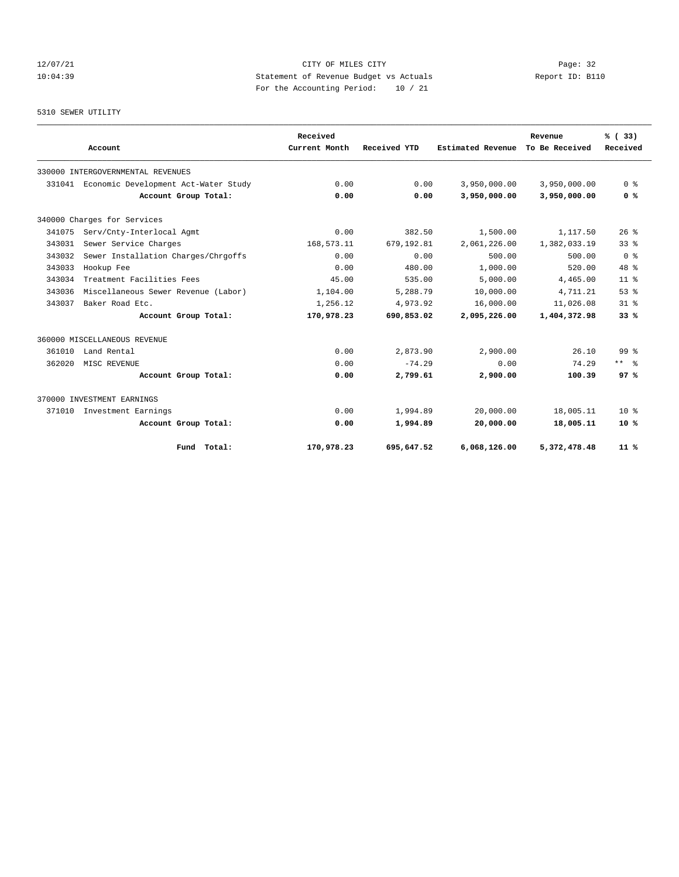## 12/07/21 CITY OF MILES CITY Page: 32 10:04:39 Statement of Revenue Budget vs Actuals Report ID: B110 For the Accounting Period: 10 / 21

#### 5310 SEWER UTILITY

|        |                                      |                      | Received      |              |                   | Revenue        | % (33)          |
|--------|--------------------------------------|----------------------|---------------|--------------|-------------------|----------------|-----------------|
|        | Account                              |                      | Current Month | Received YTD | Estimated Revenue | To Be Received | Received        |
|        | 330000 INTERGOVERNMENTAL REVENUES    |                      |               |              |                   |                |                 |
| 331041 | Economic Development Act-Water Study |                      | 0.00          | 0.00         | 3,950,000.00      | 3,950,000.00   | 0 <sup>8</sup>  |
|        |                                      | Account Group Total: | 0.00          | 0.00         | 3,950,000.00      | 3,950,000.00   | 0 %             |
|        | 340000 Charges for Services          |                      |               |              |                   |                |                 |
| 341075 | Serv/Cnty-Interlocal Agmt            |                      | 0.00          | 382.50       | 1,500.00          | 1,117.50       | $26*$           |
| 343031 | Sewer Service Charges                |                      | 168,573.11    | 679,192.81   | 2,061,226.00      | 1,382,033.19   | $33*$           |
| 343032 | Sewer Installation Charges/Chrgoffs  |                      | 0.00          | 0.00         | 500.00            | 500.00         | 0 <sup>8</sup>  |
| 343033 | Hookup Fee                           |                      | 0.00          | 480.00       | 1,000.00          | 520.00         | $48*$           |
| 343034 | Treatment Facilities Fees            |                      | 45.00         | 535.00       | 5,000.00          | 4,465.00       | 11 <sup>8</sup> |
| 343036 | Miscellaneous Sewer Revenue (Labor)  |                      | 1,104.00      | 5,288.79     | 10,000.00         | 4,711.21       | 53%             |
| 343037 | Baker Road Etc.                      |                      | 1,256.12      | 4,973.92     | 16,000.00         | 11,026.08      | 31.8            |
|        |                                      | Account Group Total: | 170,978.23    | 690,853.02   | 2,095,226.00      | 1,404,372.98   | 33%             |
|        | 360000 MISCELLANEOUS REVENUE         |                      |               |              |                   |                |                 |
| 361010 | Land Rental                          |                      | 0.00          | 2,873.90     | 2,900.00          | 26.10          | $99*$           |
| 362020 | MISC REVENUE                         |                      | 0.00          | $-74.29$     | 0.00              | 74.29          | $***$ $%$       |
|        |                                      | Account Group Total: | 0.00          | 2,799.61     | 2,900.00          | 100.39         | 97%             |
|        | 370000 INVESTMENT EARNINGS           |                      |               |              |                   |                |                 |
| 371010 | Investment Earnings                  |                      | 0.00          | 1,994.89     | 20,000.00         | 18,005.11      | $10*$           |
|        |                                      | Account Group Total: | 0.00          | 1,994.89     | 20,000.00         | 18,005.11      | $10*$           |
|        |                                      | Fund Total:          | 170,978.23    | 695,647.52   | 6.068.126.00      | 5,372,478.48   | $11*$           |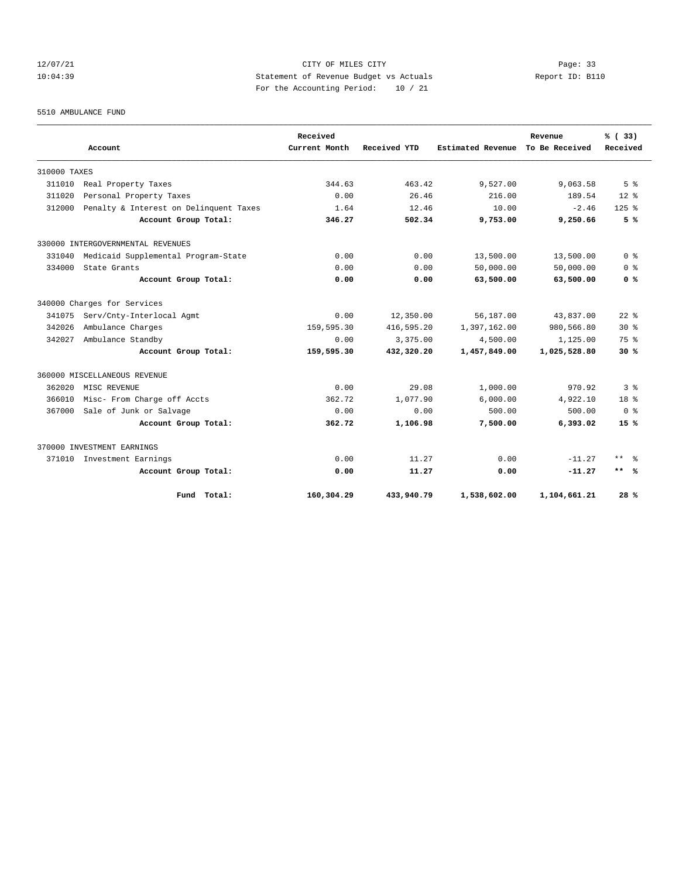## 12/07/21 CITY OF MILES CITY Page: 33 10:04:39 Statement of Revenue Budget vs Actuals Report ID: B110 For the Accounting Period: 10 / 21

5510 AMBULANCE FUND

|              | Account                                | Received<br>Current Month | Received YTD | <b>Estimated Revenue</b> | Revenue<br>To Be Received | % (33)<br>Received |
|--------------|----------------------------------------|---------------------------|--------------|--------------------------|---------------------------|--------------------|
|              |                                        |                           |              |                          |                           |                    |
| 310000 TAXES |                                        |                           |              |                          |                           |                    |
| 311010       | Real Property Taxes                    | 344.63                    | 463.42       | 9,527.00                 | 9,063.58                  | 5 <sup>8</sup>     |
| 311020       | Personal Property Taxes                | 0.00                      | 26.46        | 216.00                   | 189.54                    | $12*$              |
| 312000       | Penalty & Interest on Delinquent Taxes | 1.64                      | 12.46        | 10.00                    | $-2.46$                   | $125$ $%$          |
|              | Account Group Total:                   | 346.27                    | 502.34       | 9,753.00                 | 9,250.66                  | 5%                 |
|              | 330000 INTERGOVERNMENTAL REVENUES      |                           |              |                          |                           |                    |
| 331040       | Medicaid Supplemental Program-State    | 0.00                      | 0.00         | 13,500.00                | 13,500.00                 | 0 <sup>8</sup>     |
| 334000       | State Grants                           | 0.00                      | 0.00         | 50,000.00                | 50,000.00                 | 0 <sup>8</sup>     |
|              | Account Group Total:                   | 0.00                      | 0.00         | 63,500.00                | 63,500.00                 | 0 <sup>8</sup>     |
|              | 340000 Charges for Services            |                           |              |                          |                           |                    |
| 341075       | Serv/Cnty-Interlocal Agmt              | 0.00                      | 12,350.00    | 56,187.00                | 43,837.00                 | $22$ $%$           |
| 342026       | Ambulance Charges                      | 159,595.30                | 416,595.20   | 1,397,162.00             | 980,566.80                | $30*$              |
| 342027       | Ambulance Standby                      | 0.00                      | 3,375.00     | 4,500.00                 | 1,125.00                  | 75 %               |
|              | Account Group Total:                   | 159,595.30                | 432,320.20   | 1,457,849.00             | 1,025,528.80              | 30%                |
|              | 360000 MISCELLANEOUS REVENUE           |                           |              |                          |                           |                    |
| 362020       | MISC REVENUE                           | 0.00                      | 29.08        | 1,000.00                 | 970.92                    | 3%                 |
| 366010       | Misc- From Charge off Accts            | 362.72                    | 1,077.90     | 6,000.00                 | 4,922.10                  | $18*$              |
| 367000       | Sale of Junk or Salvage                | 0.00                      | 0.00         | 500.00                   | 500.00                    | 0 <sup>8</sup>     |
|              | Account Group Total:                   | 362.72                    | 1,106.98     | 7,500.00                 | 6,393.02                  | 15%                |
|              | 370000 INVESTMENT EARNINGS             |                           |              |                          |                           |                    |
| 371010       | Investment Earnings                    | 0.00                      | 11.27        | 0.00                     | $-11.27$                  | $***$ $=$          |
|              | Account Group Total:                   | 0.00                      | 11.27        | 0.00                     | $-11.27$                  | $***$ %            |
|              | Fund Total:                            | 160,304.29                | 433,940.79   | 1,538,602.00             | 1,104,661.21              | 28%                |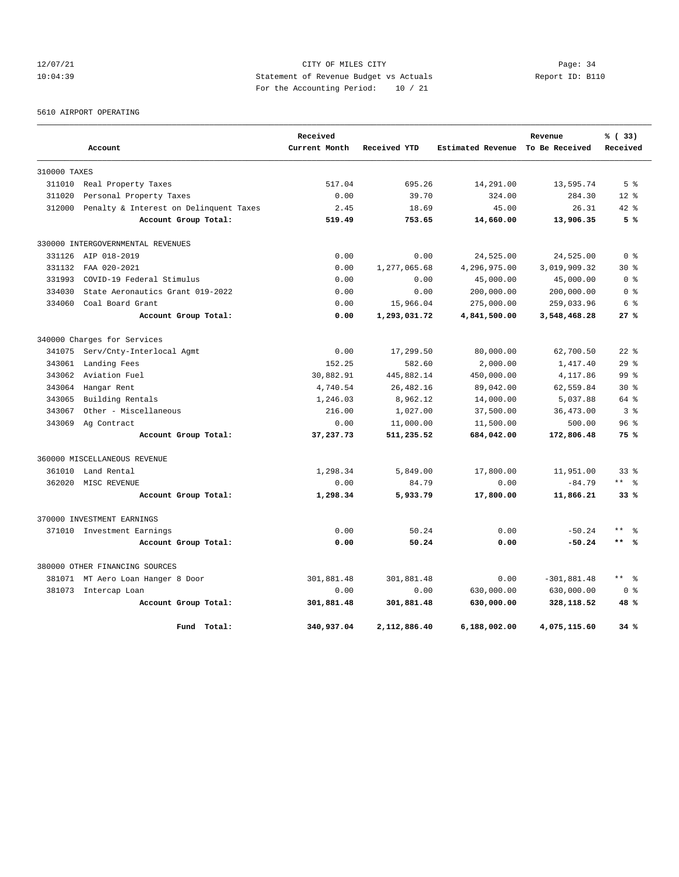## 12/07/21 CITY OF MILES CITY Page: 34 10:04:39 Statement of Revenue Budget vs Actuals Report ID: B110 For the Accounting Period: 10 / 21

5610 AIRPORT OPERATING

|              |                                        | Received      |              |                   | Revenue        | % (33)                       |  |
|--------------|----------------------------------------|---------------|--------------|-------------------|----------------|------------------------------|--|
|              | Account                                | Current Month | Received YTD | Estimated Revenue | To Be Received | Received                     |  |
| 310000 TAXES |                                        |               |              |                   |                |                              |  |
| 311010       | Real Property Taxes                    | 517.04        | 695.26       | 14,291.00         | 13,595.74      | 5 <sup>8</sup>               |  |
| 311020       | Personal Property Taxes                | 0.00          | 39.70        | 324.00            | 284.30         | $12*$                        |  |
| 312000       | Penalty & Interest on Delinquent Taxes | 2.45          | 18.69        | 45.00             | 26.31          | $42*$                        |  |
|              | Account Group Total:                   | 519.49        | 753.65       | 14,660.00         | 13,906.35      | 5%                           |  |
|              | 330000 INTERGOVERNMENTAL REVENUES      |               |              |                   |                |                              |  |
| 331126       | AIP 018-2019                           | 0.00          | 0.00         | 24,525.00         | 24,525.00      | 0 <sup>8</sup>               |  |
| 331132       | FAA 020-2021                           | 0.00          | 1,277,065.68 | 4,296,975.00      | 3,019,909.32   | 30 <sub>8</sub>              |  |
| 331993       | COVID-19 Federal Stimulus              | 0.00          | 0.00         | 45,000.00         | 45,000.00      | 0 <sup>8</sup>               |  |
| 334030       | State Aeronautics Grant 019-2022       | 0.00          | 0.00         | 200,000.00        | 200,000.00     | 0 %                          |  |
| 334060       | Coal Board Grant                       | 0.00          | 15,966.04    | 275,000.00        | 259,033.96     | 6 %                          |  |
|              | Account Group Total:                   | 0.00          | 1,293,031.72 | 4,841,500.00      | 3,548,468.28   | 27%                          |  |
|              | 340000 Charges for Services            |               |              |                   |                |                              |  |
| 341075       | Serv/Cnty-Interlocal Agmt              | 0.00          | 17,299.50    | 80,000.00         | 62,700.50      | $22$ $%$                     |  |
| 343061       | Landing Fees                           | 152.25        | 582.60       | 2,000.00          | 1,417.40       | 29 <sup>8</sup>              |  |
| 343062       | Aviation Fuel                          | 30,882.91     | 445,882.14   | 450,000.00        | 4,117.86       | 99 <sup>8</sup>              |  |
| 343064       | Hangar Rent                            | 4,740.54      | 26, 482.16   | 89,042.00         | 62,559.84      | $30*$                        |  |
| 343065       | Building Rentals                       | 1,246.03      | 8,962.12     | 14,000.00         | 5,037.88       | 64 %                         |  |
| 343067       | Other - Miscellaneous                  | 216.00        | 1,027.00     | 37,500.00         | 36, 473.00     | 3 <sup>8</sup>               |  |
|              | 343069 Ag Contract                     | 0.00          | 11,000.00    | 11,500.00         | 500.00         | 96 <sup>8</sup>              |  |
|              | Account Group Total:                   | 37,237.73     | 511,235.52   | 684,042.00        | 172,806.48     | 75%                          |  |
|              | 360000 MISCELLANEOUS REVENUE           |               |              |                   |                |                              |  |
| 361010       | Land Rental                            | 1,298.34      | 5,849.00     | 17,800.00         | 11,951.00      | 33 <sup>8</sup>              |  |
| 362020       | MISC REVENUE                           | 0.00          | 84.79        | 0.00              | $-84.79$       | $***$ 8                      |  |
|              | Account Group Total:                   | 1,298.34      | 5,933.79     | 17,800.00         | 11,866.21      | 33%                          |  |
|              | 370000 INVESTMENT EARNINGS             |               |              |                   |                |                              |  |
|              | 371010 Investment Earnings             | 0.00          | 50.24        | 0.00              | $-50.24$       | $* *$<br>န္                  |  |
|              | Account Group Total:                   | 0.00          | 50.24        | 0.00              | $-50.24$       | $***$ %                      |  |
|              | 380000 OTHER FINANCING SOURCES         |               |              |                   |                |                              |  |
|              | 381071 MT Aero Loan Hanger 8 Door      | 301,881.48    | 301,881.48   | 0.00              | $-301,881.48$  | $\star$ $\star$<br>$\approx$ |  |
|              | 381073 Intercap Loan                   | 0.00          | 0.00         | 630,000.00        | 630,000.00     | 0 <sup>8</sup>               |  |
|              | Account Group Total:                   | 301,881.48    | 301,881.48   | 630,000.00        | 328,118.52     | 48 %                         |  |
|              | Fund Total:                            | 340,937.04    | 2,112,886.40 | 6,188,002.00      | 4,075,115.60   | 34%                          |  |